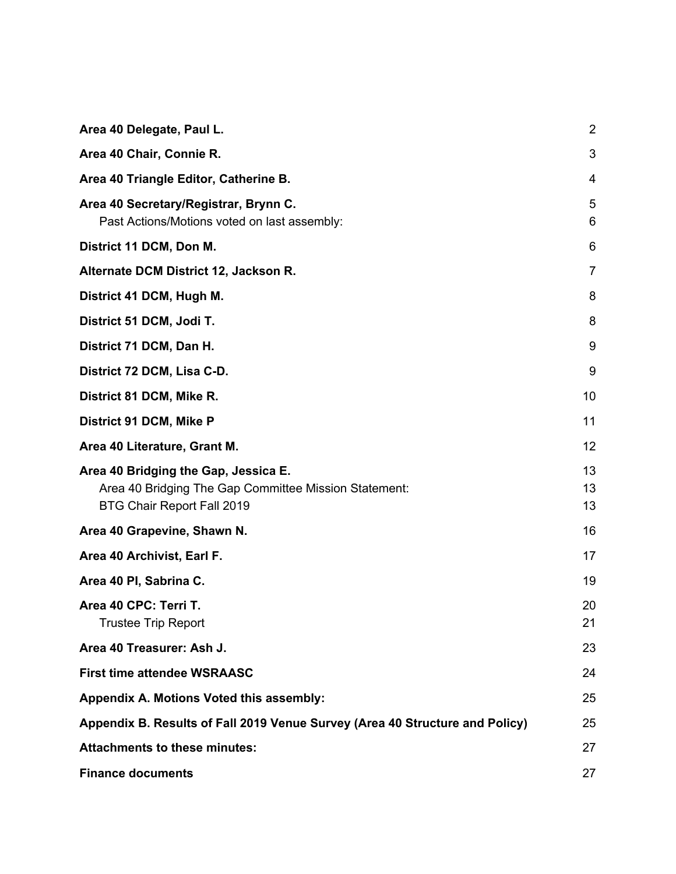| Area 40 Delegate, Paul L.                                                                                                   | $\overline{2}$ |
|-----------------------------------------------------------------------------------------------------------------------------|----------------|
| Area 40 Chair, Connie R.                                                                                                    | 3              |
| Area 40 Triangle Editor, Catherine B.                                                                                       | 4              |
| Area 40 Secretary/Registrar, Brynn C.<br>Past Actions/Motions voted on last assembly:                                       | 5<br>6         |
| District 11 DCM, Don M.                                                                                                     | 6              |
| Alternate DCM District 12, Jackson R.                                                                                       | $\overline{7}$ |
| District 41 DCM, Hugh M.                                                                                                    | 8              |
| District 51 DCM, Jodi T.                                                                                                    | 8              |
| District 71 DCM, Dan H.                                                                                                     | 9              |
| District 72 DCM, Lisa C-D.                                                                                                  | 9              |
| District 81 DCM, Mike R.                                                                                                    | 10             |
| District 91 DCM, Mike P                                                                                                     | 11             |
| Area 40 Literature, Grant M.                                                                                                | 12             |
| Area 40 Bridging the Gap, Jessica E.<br>Area 40 Bridging The Gap Committee Mission Statement:<br>BTG Chair Report Fall 2019 | 13<br>13<br>13 |
| Area 40 Grapevine, Shawn N.                                                                                                 | 16             |
| Area 40 Archivist, Earl F.                                                                                                  | 17             |
| Area 40 PI, Sabrina C.                                                                                                      | 19             |
| Area 40 CPC: Terri T.<br><b>Trustee Trip Report</b>                                                                         | 20<br>21       |
| Area 40 Treasurer: Ash J.                                                                                                   | 23             |
| <b>First time attendee WSRAASC</b>                                                                                          | 24             |
| Appendix A. Motions Voted this assembly:                                                                                    | 25             |
| Appendix B. Results of Fall 2019 Venue Survey (Area 40 Structure and Policy)                                                | 25             |
| <b>Attachments to these minutes:</b>                                                                                        | 27             |
| <b>Finance documents</b>                                                                                                    | 27             |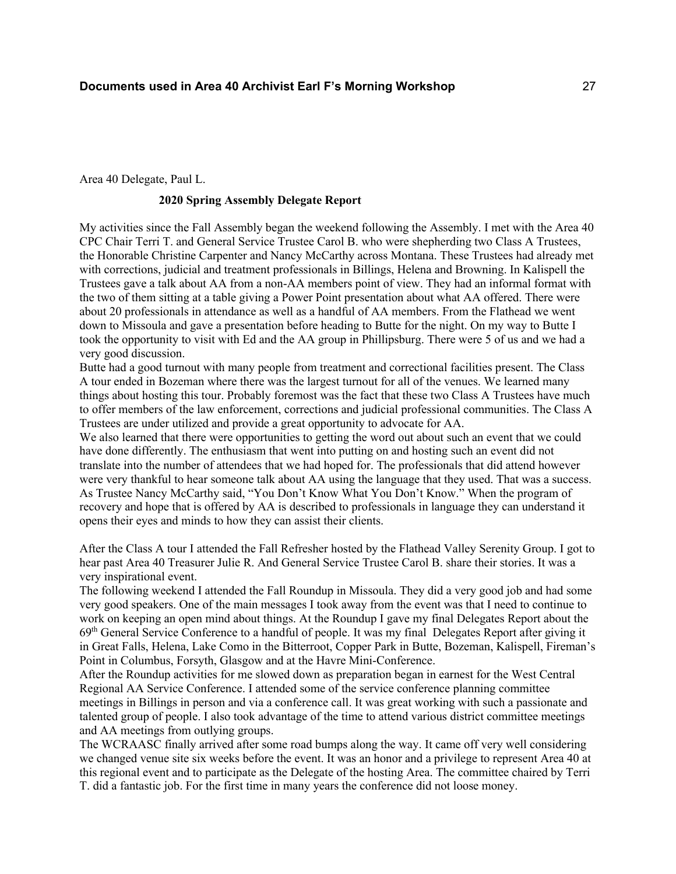Area 40 Delegate, Paul L.

## **2020 Spring Assembly Delegate Report**

My activities since the Fall Assembly began the weekend following the Assembly. I met with the Area 40 CPC Chair Terri T. and General Service Trustee Carol B. who were shepherding two Class A Trustees, the Honorable Christine Carpenter and Nancy McCarthy across Montana. These Trustees had already met with corrections, judicial and treatment professionals in Billings, Helena and Browning. In Kalispell the Trustees gave a talk about AA from a non-AA members point of view. They had an informal format with the two of them sitting at a table giving a Power Point presentation about what AA offered. There were about 20 professionals in attendance as well as a handful of AA members. From the Flathead we went down to Missoula and gave a presentation before heading to Butte for the night. On my way to Butte I took the opportunity to visit with Ed and the AA group in Phillipsburg. There were 5 of us and we had a very good discussion.

Butte had a good turnout with many people from treatment and correctional facilities present. The Class A tour ended in Bozeman where there was the largest turnout for all of the venues. We learned many things about hosting this tour. Probably foremost was the fact that these two Class A Trustees have much to offer members of the law enforcement, corrections and judicial professional communities. The Class A Trustees are under utilized and provide a great opportunity to advocate for AA.

We also learned that there were opportunities to getting the word out about such an event that we could have done differently. The enthusiasm that went into putting on and hosting such an event did not translate into the number of attendees that we had hoped for. The professionals that did attend however were very thankful to hear someone talk about AA using the language that they used. That was a success. As Trustee Nancy McCarthy said, "You Don't Know What You Don't Know." When the program of recovery and hope that is offered by AA is described to professionals in language they can understand it opens their eyes and minds to how they can assist their clients.

After the Class A tour I attended the Fall Refresher hosted by the Flathead Valley Serenity Group. I got to hear past Area 40 Treasurer Julie R. And General Service Trustee Carol B. share their stories. It was a very inspirational event.

The following weekend I attended the Fall Roundup in Missoula. They did a very good job and had some very good speakers. One of the main messages I took away from the event was that I need to continue to work on keeping an open mind about things. At the Roundup I gave my final Delegates Report about the 69th General Service Conference to a handful of people. It was my final Delegates Report after giving it in Great Falls, Helena, Lake Como in the Bitterroot, Copper Park in Butte, Bozeman, Kalispell, Fireman's Point in Columbus, Forsyth, Glasgow and at the Havre Mini-Conference.

After the Roundup activities for me slowed down as preparation began in earnest for the West Central Regional AA Service Conference. I attended some of the service conference planning committee meetings in Billings in person and via a conference call. It was great working with such a passionate and talented group of people. I also took advantage of the time to attend various district committee meetings and AA meetings from outlying groups.

The WCRAASC finally arrived after some road bumps along the way. It came off very well considering we changed venue site six weeks before the event. It was an honor and a privilege to represent Area 40 at this regional event and to participate as the Delegate of the hosting Area. The committee chaired by Terri T. did a fantastic job. For the first time in many years the conference did not loose money.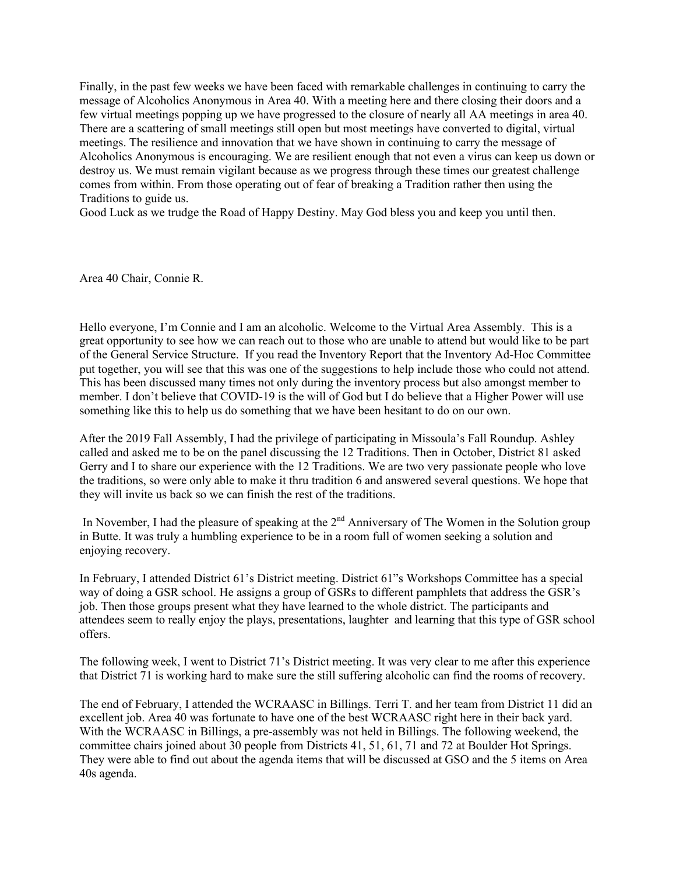Finally, in the past few weeks we have been faced with remarkable challenges in continuing to carry the message of Alcoholics Anonymous in Area 40. With a meeting here and there closing their doors and a few virtual meetings popping up we have progressed to the closure of nearly all AA meetings in area 40. There are a scattering of small meetings still open but most meetings have converted to digital, virtual meetings. The resilience and innovation that we have shown in continuing to carry the message of Alcoholics Anonymous is encouraging. We are resilient enough that not even a virus can keep us down or destroy us. We must remain vigilant because as we progress through these times our greatest challenge comes from within. From those operating out of fear of breaking a Tradition rather then using the Traditions to guide us.

Good Luck as we trudge the Road of Happy Destiny. May God bless you and keep you until then.

Area 40 Chair, Connie R.

Hello everyone, I'm Connie and I am an alcoholic. Welcome to the Virtual Area Assembly. This is a great opportunity to see how we can reach out to those who are unable to attend but would like to be part of the General Service Structure. If you read the Inventory Report that the Inventory Ad-Hoc Committee put together, you will see that this was one of the suggestions to help include those who could not attend. This has been discussed many times not only during the inventory process but also amongst member to member. I don't believe that COVID-19 is the will of God but I do believe that a Higher Power will use something like this to help us do something that we have been hesitant to do on our own.

After the 2019 Fall Assembly, I had the privilege of participating in Missoula's Fall Roundup. Ashley called and asked me to be on the panel discussing the 12 Traditions. Then in October, District 81 asked Gerry and I to share our experience with the 12 Traditions. We are two very passionate people who love the traditions, so were only able to make it thru tradition 6 and answered several questions. We hope that they will invite us back so we can finish the rest of the traditions.

In November, I had the pleasure of speaking at the  $2<sup>nd</sup>$  Anniversary of The Women in the Solution group in Butte. It was truly a humbling experience to be in a room full of women seeking a solution and enjoying recovery.

In February, I attended District 61's District meeting. District 61"s Workshops Committee has a special way of doing a GSR school. He assigns a group of GSRs to different pamphlets that address the GSR's job. Then those groups present what they have learned to the whole district. The participants and attendees seem to really enjoy the plays, presentations, laughter and learning that this type of GSR school offers.

The following week, I went to District 71's District meeting. It was very clear to me after this experience that District 71 is working hard to make sure the still suffering alcoholic can find the rooms of recovery.

The end of February, I attended the WCRAASC in Billings. Terri T. and her team from District 11 did an excellent job. Area 40 was fortunate to have one of the best WCRAASC right here in their back yard. With the WCRAASC in Billings, a pre-assembly was not held in Billings. The following weekend, the committee chairs joined about 30 people from Districts 41, 51, 61, 71 and 72 at Boulder Hot Springs. They were able to find out about the agenda items that will be discussed at GSO and the 5 items on Area 40s agenda.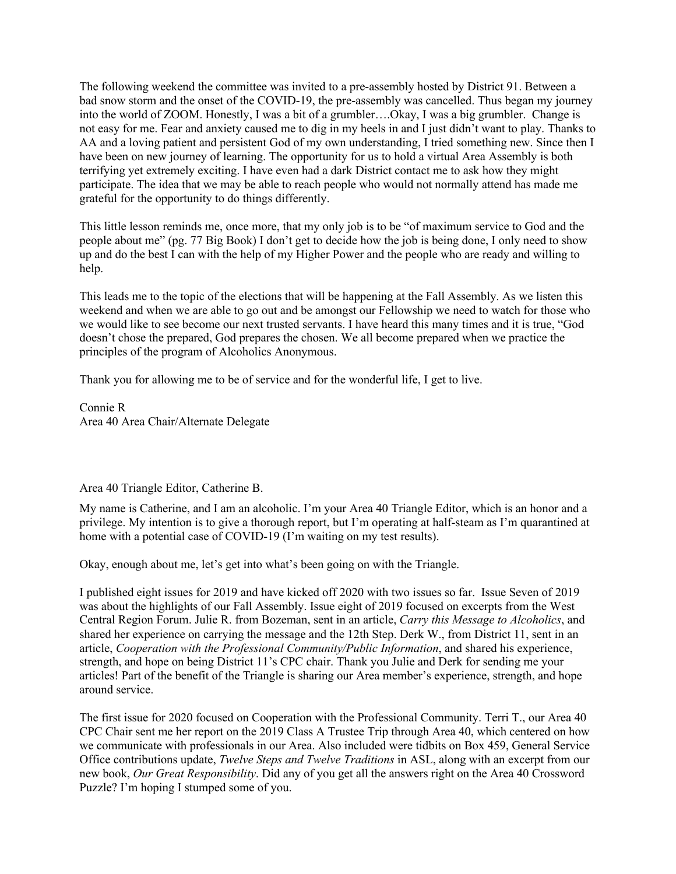The following weekend the committee was invited to a pre-assembly hosted by District 91. Between a bad snow storm and the onset of the COVID-19, the pre-assembly was cancelled. Thus began my journey into the world of ZOOM. Honestly, I was a bit of a grumbler….Okay, I was a big grumbler. Change is not easy for me. Fear and anxiety caused me to dig in my heels in and I just didn't want to play. Thanks to AA and a loving patient and persistent God of my own understanding, I tried something new. Since then I have been on new journey of learning. The opportunity for us to hold a virtual Area Assembly is both terrifying yet extremely exciting. I have even had a dark District contact me to ask how they might participate. The idea that we may be able to reach people who would not normally attend has made me grateful for the opportunity to do things differently.

This little lesson reminds me, once more, that my only job is to be "of maximum service to God and the people about me" (pg. 77 Big Book) I don't get to decide how the job is being done, I only need to show up and do the best I can with the help of my Higher Power and the people who are ready and willing to help.

This leads me to the topic of the elections that will be happening at the Fall Assembly. As we listen this weekend and when we are able to go out and be amongst our Fellowship we need to watch for those who we would like to see become our next trusted servants. I have heard this many times and it is true, "God doesn't chose the prepared, God prepares the chosen. We all become prepared when we practice the principles of the program of Alcoholics Anonymous.

Thank you for allowing me to be of service and for the wonderful life, I get to live.

Connie R Area 40 Area Chair/Alternate Delegate

#### Area 40 Triangle Editor, Catherine B.

My name is Catherine, and I am an alcoholic. I'm your Area 40 Triangle Editor, which is an honor and a privilege. My intention is to give a thorough report, but I'm operating at half-steam as I'm quarantined at home with a potential case of COVID-19 (I'm waiting on my test results).

Okay, enough about me, let's get into what's been going on with the Triangle.

I published eight issues for 2019 and have kicked off 2020 with two issues so far. Issue Seven of 2019 was about the highlights of our Fall Assembly. Issue eight of 2019 focused on excerpts from the West Central Region Forum. Julie R. from Bozeman, sent in an article, *Carry this Message to Alcoholics*, and shared her experience on carrying the message and the 12th Step. Derk W., from District 11, sent in an article, *Cooperation with the Professional Community/Public Information*, and shared his experience, strength, and hope on being District 11's CPC chair. Thank you Julie and Derk for sending me your articles! Part of the benefit of the Triangle is sharing our Area member's experience, strength, and hope around service.

The first issue for 2020 focused on Cooperation with the Professional Community. Terri T., our Area 40 CPC Chair sent me her report on the 2019 Class A Trustee Trip through Area 40, which centered on how we communicate with professionals in our Area. Also included were tidbits on Box 459, General Service Office contributions update, *Twelve Steps and Twelve Traditions* in ASL, along with an excerpt from our new book, *Our Great Responsibility*. Did any of you get all the answers right on the Area 40 Crossword Puzzle? I'm hoping I stumped some of you.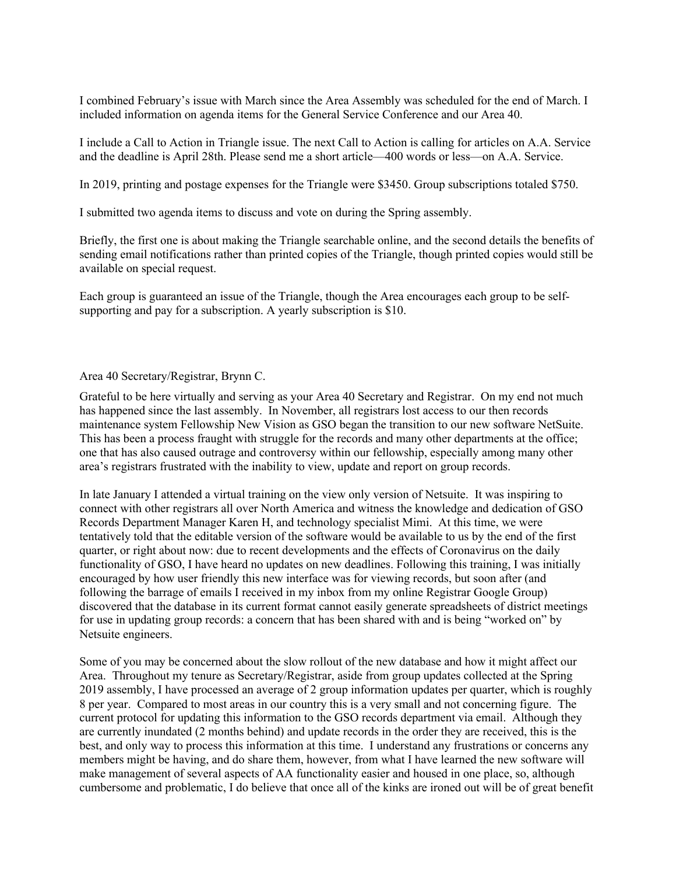I combined February's issue with March since the Area Assembly was scheduled for the end of March. I included information on agenda items for the General Service Conference and our Area 40.

I include a Call to Action in Triangle issue. The next Call to Action is calling for articles on A.A. Service and the deadline is April 28th. Please send me a short article—400 words or less—on A.A. Service.

In 2019, printing and postage expenses for the Triangle were \$3450. Group subscriptions totaled \$750.

I submitted two agenda items to discuss and vote on during the Spring assembly.

Briefly, the first one is about making the Triangle searchable online, and the second details the benefits of sending email notifications rather than printed copies of the Triangle, though printed copies would still be available on special request.

Each group is guaranteed an issue of the Triangle, though the Area encourages each group to be selfsupporting and pay for a subscription. A yearly subscription is \$10.

#### Area 40 Secretary/Registrar, Brynn C.

Grateful to be here virtually and serving as your Area 40 Secretary and Registrar. On my end not much has happened since the last assembly. In November, all registrars lost access to our then records maintenance system Fellowship New Vision as GSO began the transition to our new software NetSuite. This has been a process fraught with struggle for the records and many other departments at the office; one that has also caused outrage and controversy within our fellowship, especially among many other area's registrars frustrated with the inability to view, update and report on group records.

In late January I attended a virtual training on the view only version of Netsuite. It was inspiring to connect with other registrars all over North America and witness the knowledge and dedication of GSO Records Department Manager Karen H, and technology specialist Mimi. At this time, we were tentatively told that the editable version of the software would be available to us by the end of the first quarter, or right about now: due to recent developments and the effects of Coronavirus on the daily functionality of GSO, I have heard no updates on new deadlines. Following this training, I was initially encouraged by how user friendly this new interface was for viewing records, but soon after (and following the barrage of emails I received in my inbox from my online Registrar Google Group) discovered that the database in its current format cannot easily generate spreadsheets of district meetings for use in updating group records: a concern that has been shared with and is being "worked on" by Netsuite engineers.

Some of you may be concerned about the slow rollout of the new database and how it might affect our Area. Throughout my tenure as Secretary/Registrar, aside from group updates collected at the Spring 2019 assembly, I have processed an average of 2 group information updates per quarter, which is roughly 8 per year. Compared to most areas in our country this is a very small and not concerning figure. The current protocol for updating this information to the GSO records department via email. Although they are currently inundated (2 months behind) and update records in the order they are received, this is the best, and only way to process this information at this time. I understand any frustrations or concerns any members might be having, and do share them, however, from what I have learned the new software will make management of several aspects of AA functionality easier and housed in one place, so, although cumbersome and problematic, I do believe that once all of the kinks are ironed out will be of great benefit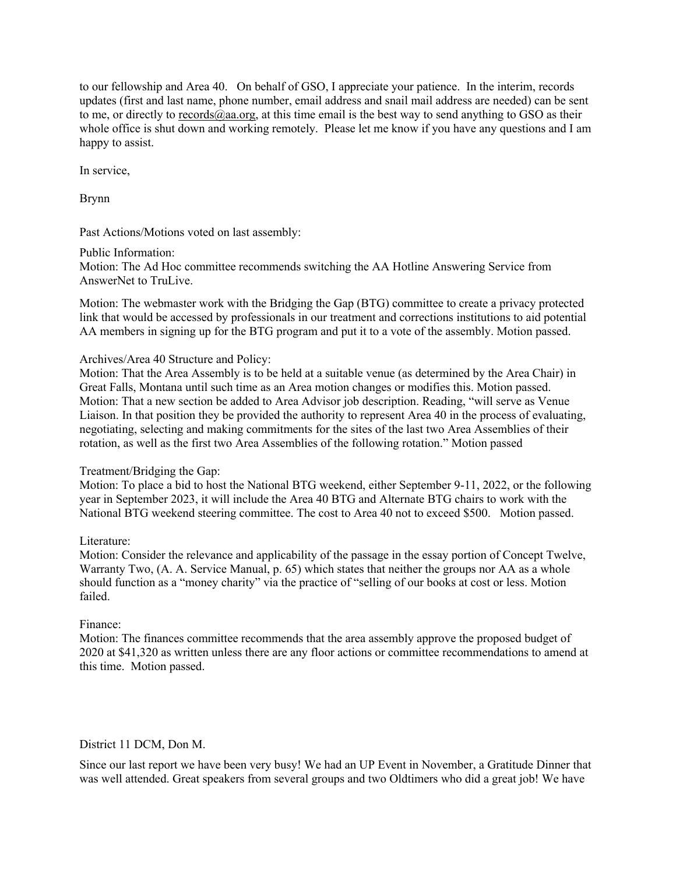to our fellowship and Area 40. On behalf of GSO, I appreciate your patience. In the interim, records updates (first and last name, phone number, email address and snail mail address are needed) can be sent to me, or directly to  $records@aa.org$ , at this time email is the best way to send anything to GSO as their</u> whole office is shut down and working remotely. Please let me know if you have any questions and I am happy to assist.

In service,

Brynn

Past Actions/Motions voted on last assembly:

Public Information: Motion: The Ad Hoc committee recommends switching the AA Hotline Answering Service from AnswerNet to TruLive.

Motion: The webmaster work with the Bridging the Gap (BTG) committee to create a privacy protected link that would be accessed by professionals in our treatment and corrections institutions to aid potential AA members in signing up for the BTG program and put it to a vote of the assembly. Motion passed.

## Archives/Area 40 Structure and Policy:

Motion: That the Area Assembly is to be held at a suitable venue (as determined by the Area Chair) in Great Falls, Montana until such time as an Area motion changes or modifies this. Motion passed. Motion: That a new section be added to Area Advisor job description. Reading, "will serve as Venue Liaison. In that position they be provided the authority to represent Area 40 in the process of evaluating, negotiating, selecting and making commitments for the sites of the last two Area Assemblies of their rotation, as well as the first two Area Assemblies of the following rotation." Motion passed

#### Treatment/Bridging the Gap:

Motion: To place a bid to host the National BTG weekend, either September 9-11, 2022, or the following year in September 2023, it will include the Area 40 BTG and Alternate BTG chairs to work with the National BTG weekend steering committee. The cost to Area 40 not to exceed \$500. Motion passed.

#### Literature:

Motion: Consider the relevance and applicability of the passage in the essay portion of Concept Twelve, Warranty Two, (A. A. Service Manual, p. 65) which states that neither the groups nor AA as a whole should function as a "money charity" via the practice of "selling of our books at cost or less. Motion failed.

## Finance:

Motion: The finances committee recommends that the area assembly approve the proposed budget of 2020 at \$41,320 as written unless there are any floor actions or committee recommendations to amend at this time. Motion passed.

## District 11 DCM, Don M.

Since our last report we have been very busy! We had an UP Event in November, a Gratitude Dinner that was well attended. Great speakers from several groups and two Oldtimers who did a great job! We have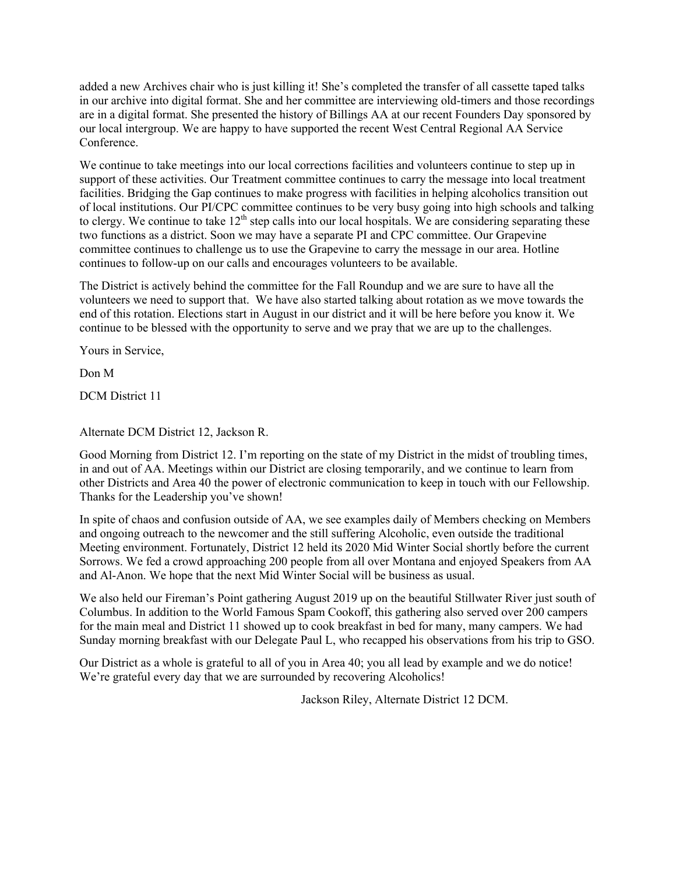added a new Archives chair who is just killing it! She's completed the transfer of all cassette taped talks in our archive into digital format. She and her committee are interviewing old-timers and those recordings are in a digital format. She presented the history of Billings AA at our recent Founders Day sponsored by our local intergroup. We are happy to have supported the recent West Central Regional AA Service Conference.

We continue to take meetings into our local corrections facilities and volunteers continue to step up in support of these activities. Our Treatment committee continues to carry the message into local treatment facilities. Bridging the Gap continues to make progress with facilities in helping alcoholics transition out of local institutions. Our PI/CPC committee continues to be very busy going into high schools and talking to clergy. We continue to take  $12<sup>th</sup>$  step calls into our local hospitals. We are considering separating these two functions as a district. Soon we may have a separate PI and CPC committee. Our Grapevine committee continues to challenge us to use the Grapevine to carry the message in our area. Hotline continues to follow-up on our calls and encourages volunteers to be available.

The District is actively behind the committee for the Fall Roundup and we are sure to have all the volunteers we need to support that. We have also started talking about rotation as we move towards the end of this rotation. Elections start in August in our district and it will be here before you know it. We continue to be blessed with the opportunity to serve and we pray that we are up to the challenges.

Yours in Service,

Don M

DCM District 11

Alternate DCM District 12, Jackson R.

Good Morning from District 12. I'm reporting on the state of my District in the midst of troubling times, in and out of AA. Meetings within our District are closing temporarily, and we continue to learn from other Districts and Area 40 the power of electronic communication to keep in touch with our Fellowship. Thanks for the Leadership you've shown!

In spite of chaos and confusion outside of AA, we see examples daily of Members checking on Members and ongoing outreach to the newcomer and the still suffering Alcoholic, even outside the traditional Meeting environment. Fortunately, District 12 held its 2020 Mid Winter Social shortly before the current Sorrows. We fed a crowd approaching 200 people from all over Montana and enjoyed Speakers from AA and Al-Anon. We hope that the next Mid Winter Social will be business as usual.

We also held our Fireman's Point gathering August 2019 up on the beautiful Stillwater River just south of Columbus. In addition to the World Famous Spam Cookoff, this gathering also served over 200 campers for the main meal and District 11 showed up to cook breakfast in bed for many, many campers. We had Sunday morning breakfast with our Delegate Paul L, who recapped his observations from his trip to GSO.

Our District as a whole is grateful to all of you in Area 40; you all lead by example and we do notice! We're grateful every day that we are surrounded by recovering Alcoholics!

Jackson Riley, Alternate District 12 DCM.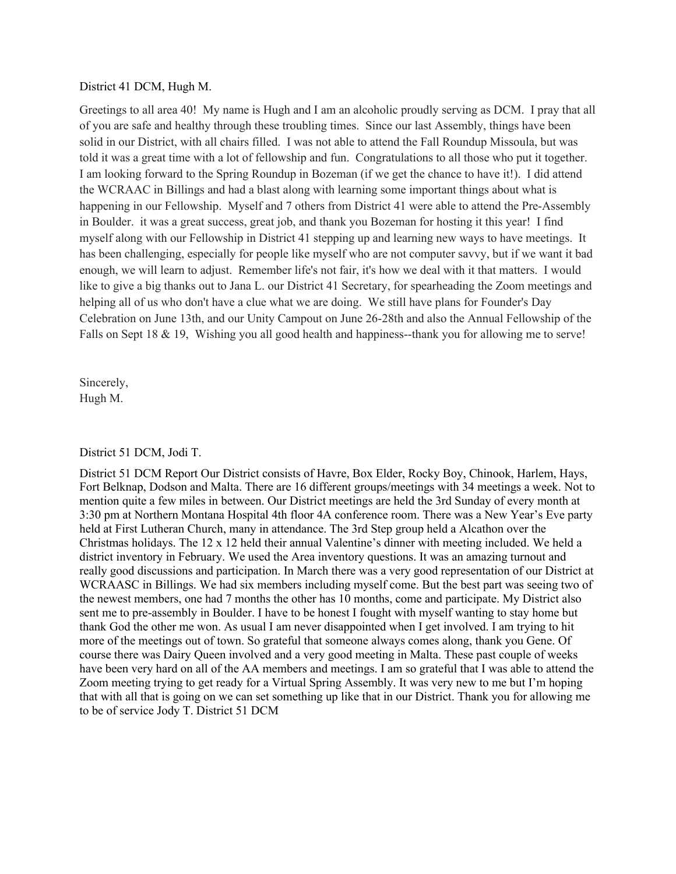#### District 41 DCM, Hugh M.

Greetings to all area 40! My name is Hugh and I am an alcoholic proudly serving as DCM. I pray that all of you are safe and healthy through these troubling times. Since our last Assembly, things have been solid in our District, with all chairs filled. I was not able to attend the Fall Roundup Missoula, but was told it was a great time with a lot of fellowship and fun. Congratulations to all those who put it together. I am looking forward to the Spring Roundup in Bozeman (if we get the chance to have it!). I did attend the WCRAAC in Billings and had a blast along with learning some important things about what is happening in our Fellowship. Myself and 7 others from District 41 were able to attend the Pre-Assembly in Boulder. it was a great success, great job, and thank you Bozeman for hosting it this year! I find myself along with our Fellowship in District 41 stepping up and learning new ways to have meetings. It has been challenging, especially for people like myself who are not computer savvy, but if we want it bad enough, we will learn to adjust. Remember life's not fair, it's how we deal with it that matters. I would like to give a big thanks out to Jana L. our District 41 Secretary, for spearheading the Zoom meetings and helping all of us who don't have a clue what we are doing. We still have plans for Founder's Day Celebration on June 13th, and our Unity Campout on June 26-28th and also the Annual Fellowship of the Falls on Sept 18 & 19, Wishing you all good health and happiness--thank you for allowing me to serve!

Sincerely, Hugh M.

#### District 51 DCM, Jodi T.

District 51 DCM Report Our District consists of Havre, Box Elder, Rocky Boy, Chinook, Harlem, Hays, Fort Belknap, Dodson and Malta. There are 16 different groups/meetings with 34 meetings a week. Not to mention quite a few miles in between. Our District meetings are held the 3rd Sunday of every month at 3:30 pm at Northern Montana Hospital 4th floor 4A conference room. There was a New Year's Eve party held at First Lutheran Church, many in attendance. The 3rd Step group held a Alcathon over the Christmas holidays. The 12 x 12 held their annual Valentine's dinner with meeting included. We held a district inventory in February. We used the Area inventory questions. It was an amazing turnout and really good discussions and participation. In March there was a very good representation of our District at WCRAASC in Billings. We had six members including myself come. But the best part was seeing two of the newest members, one had 7 months the other has 10 months, come and participate. My District also sent me to pre-assembly in Boulder. I have to be honest I fought with myself wanting to stay home but thank God the other me won. As usual I am never disappointed when I get involved. I am trying to hit more of the meetings out of town. So grateful that someone always comes along, thank you Gene. Of course there was Dairy Queen involved and a very good meeting in Malta. These past couple of weeks have been very hard on all of the AA members and meetings. I am so grateful that I was able to attend the Zoom meeting trying to get ready for a Virtual Spring Assembly. It was very new to me but I'm hoping that with all that is going on we can set something up like that in our District. Thank you for allowing me to be of service Jody T. District 51 DCM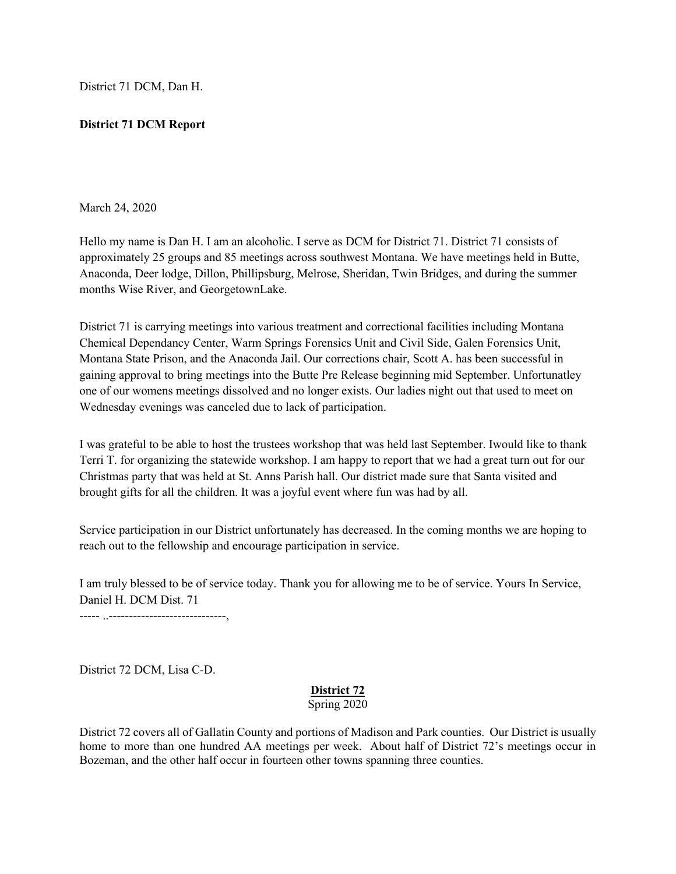District 71 DCM, Dan H.

## **District 71 DCM Report**

## March 24, 2020

Hello my name is Dan H. I am an alcoholic. I serve as DCM for District 71. District 71 consists of approximately 25 groups and 85 meetings across southwest Montana. We have meetings held in Butte, Anaconda, Deer lodge, Dillon, Phillipsburg, Melrose, Sheridan, Twin Bridges, and during the summer months Wise River, and GeorgetownLake.

District 71 is carrying meetings into various treatment and correctional facilities including Montana Chemical Dependancy Center, Warm Springs Forensics Unit and Civil Side, Galen Forensics Unit, Montana State Prison, and the Anaconda Jail. Our corrections chair, Scott A. has been successful in gaining approval to bring meetings into the Butte Pre Release beginning mid September. Unfortunatley one of our womens meetings dissolved and no longer exists. Our ladies night out that used to meet on Wednesday evenings was canceled due to lack of participation.

I was grateful to be able to host the trustees workshop that was held last September. Iwould like to thank Terri T. for organizing the statewide workshop. I am happy to report that we had a great turn out for our Christmas party that was held at St. Anns Parish hall. Our district made sure that Santa visited and brought gifts for all the children. It was a joyful event where fun was had by all.

Service participation in our District unfortunately has decreased. In the coming months we are hoping to reach out to the fellowship and encourage participation in service.

I am truly blessed to be of service today. Thank you for allowing me to be of service. Yours In Service, Daniel H. DCM Dist. 71

----- ..-----------------------------,

District 72 DCM, Lisa C-D.

## **District 72** Spring 2020

District 72 covers all of Gallatin County and portions of Madison and Park counties. Our District is usually home to more than one hundred AA meetings per week. About half of District 72's meetings occur in Bozeman, and the other half occur in fourteen other towns spanning three counties.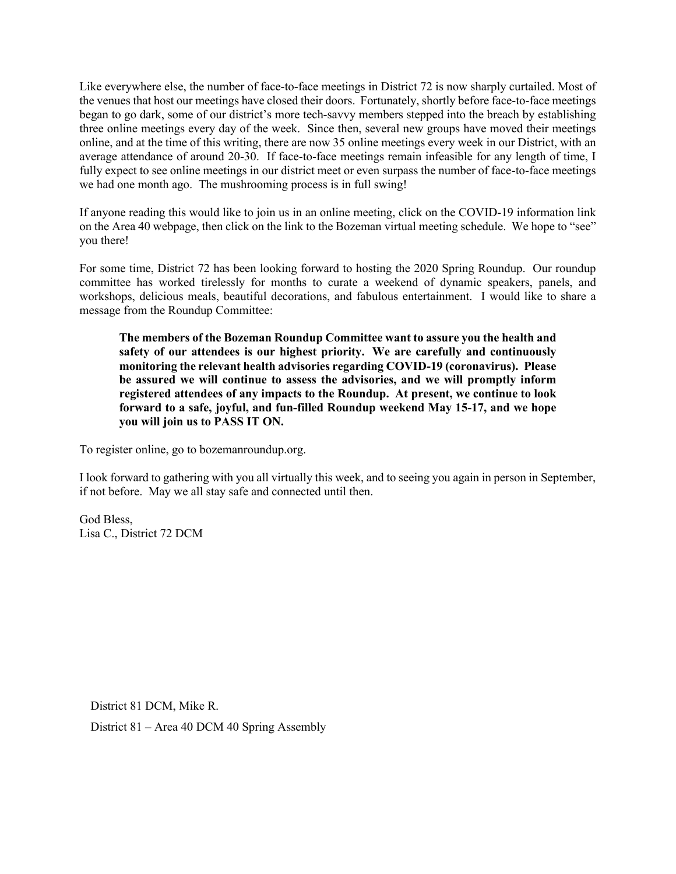Like everywhere else, the number of face-to-face meetings in District 72 is now sharply curtailed. Most of the venues that host our meetings have closed their doors. Fortunately, shortly before face-to-face meetings began to go dark, some of our district's more tech-savvy members stepped into the breach by establishing three online meetings every day of the week. Since then, several new groups have moved their meetings online, and at the time of this writing, there are now 35 online meetings every week in our District, with an average attendance of around 20-30. If face-to-face meetings remain infeasible for any length of time, I fully expect to see online meetings in our district meet or even surpass the number of face-to-face meetings we had one month ago. The mushrooming process is in full swing!

If anyone reading this would like to join us in an online meeting, click on the COVID-19 information link on the Area 40 webpage, then click on the link to the Bozeman virtual meeting schedule. We hope to "see" you there!

For some time, District 72 has been looking forward to hosting the 2020 Spring Roundup. Our roundup committee has worked tirelessly for months to curate a weekend of dynamic speakers, panels, and workshops, delicious meals, beautiful decorations, and fabulous entertainment. I would like to share a message from the Roundup Committee:

**The members of the Bozeman Roundup Committee want to assure you the health and safety of our attendees is our highest priority. We are carefully and continuously monitoring the relevant health advisories regarding COVID-19 (coronavirus). Please be assured we will continue to assess the advisories, and we will promptly inform registered attendees of any impacts to the Roundup. At present, we continue to look forward to a safe, joyful, and fun-filled Roundup weekend May 15-17, and we hope you will join us to PASS IT ON.** 

To register online, go to bozemanroundup.org.

I look forward to gathering with you all virtually this week, and to seeing you again in person in September, if not before. May we all stay safe and connected until then.

God Bless, Lisa C., District 72 DCM

District 81 DCM, Mike R.

District 81 – Area 40 DCM 40 Spring Assembly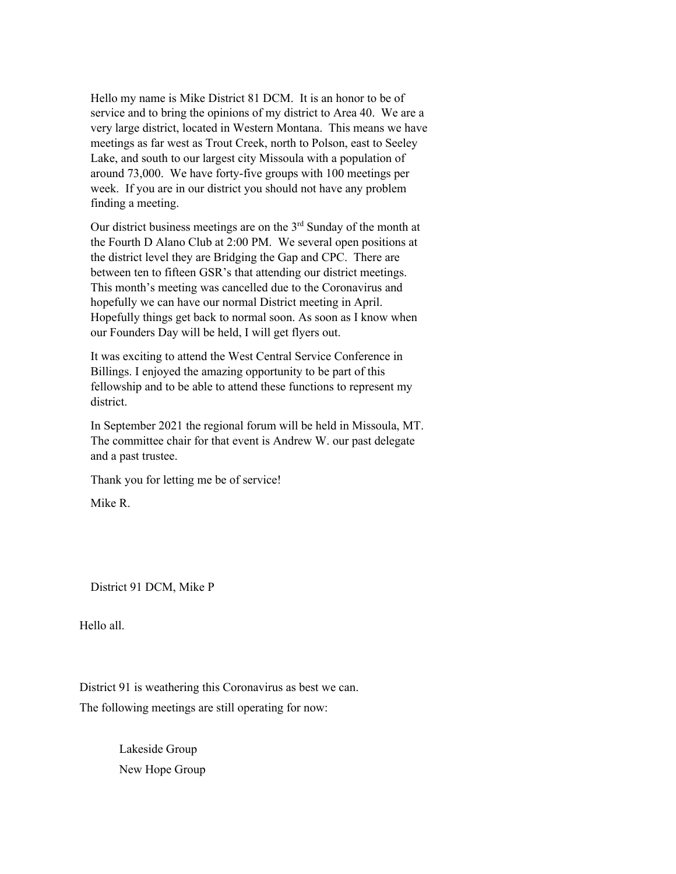Hello my name is Mike District 81 DCM. It is an honor to be of service and to bring the opinions of my district to Area 40. We are a very large district, located in Western Montana. This means we have meetings as far west as Trout Creek, north to Polson, east to Seeley Lake, and south to our largest city Missoula with a population of around 73,000. We have forty-five groups with 100 meetings per week. If you are in our district you should not have any problem finding a meeting.

Our district business meetings are on the  $3<sup>rd</sup>$  Sunday of the month at the Fourth D Alano Club at 2:00 PM. We several open positions at the district level they are Bridging the Gap and CPC. There are between ten to fifteen GSR's that attending our district meetings. This month's meeting was cancelled due to the Coronavirus and hopefully we can have our normal District meeting in April. Hopefully things get back to normal soon. As soon as I know when our Founders Day will be held, I will get flyers out.

It was exciting to attend the West Central Service Conference in Billings. I enjoyed the amazing opportunity to be part of this fellowship and to be able to attend these functions to represent my district.

In September 2021 the regional forum will be held in Missoula, MT. The committee chair for that event is Andrew W. our past delegate and a past trustee.

Thank you for letting me be of service!

Mike R.

District 91 DCM, Mike P

Hello all.

District 91 is weathering this Coronavirus as best we can. The following meetings are still operating for now:

> Lakeside Group New Hope Group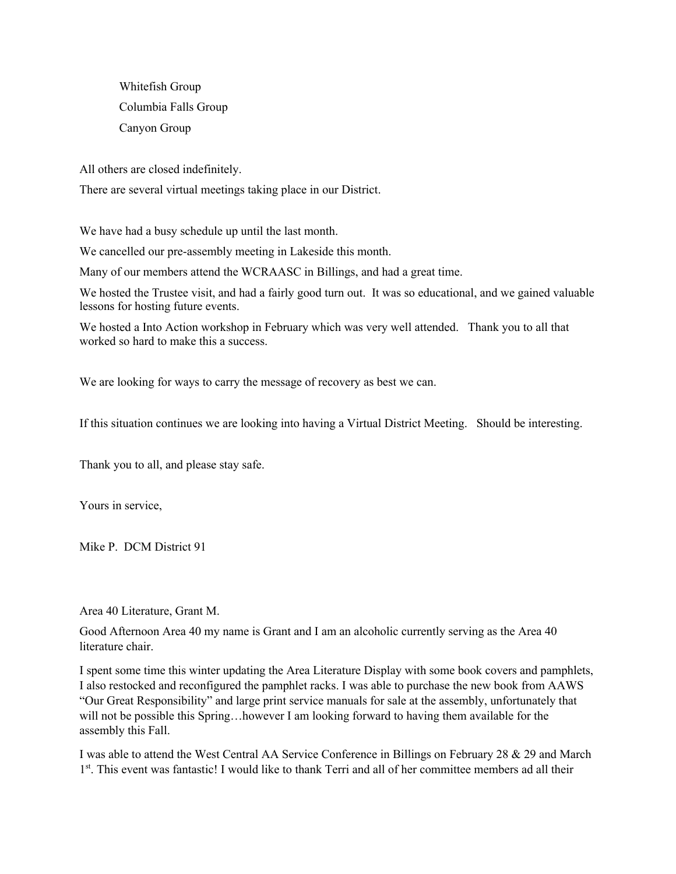Whitefish Group Columbia Falls Group Canyon Group

All others are closed indefinitely.

There are several virtual meetings taking place in our District.

We have had a busy schedule up until the last month.

We cancelled our pre-assembly meeting in Lakeside this month.

Many of our members attend the WCRAASC in Billings, and had a great time.

We hosted the Trustee visit, and had a fairly good turn out. It was so educational, and we gained valuable lessons for hosting future events.

We hosted a Into Action workshop in February which was very well attended. Thank you to all that worked so hard to make this a success.

We are looking for ways to carry the message of recovery as best we can.

If this situation continues we are looking into having a Virtual District Meeting. Should be interesting.

Thank you to all, and please stay safe.

Yours in service,

Mike P. DCM District 91

Area 40 Literature, Grant M.

Good Afternoon Area 40 my name is Grant and I am an alcoholic currently serving as the Area 40 literature chair.

I spent some time this winter updating the Area Literature Display with some book covers and pamphlets, I also restocked and reconfigured the pamphlet racks. I was able to purchase the new book from AAWS "Our Great Responsibility" and large print service manuals for sale at the assembly, unfortunately that will not be possible this Spring...however I am looking forward to having them available for the assembly this Fall.

I was able to attend the West Central AA Service Conference in Billings on February 28 & 29 and March 1<sup>st</sup>. This event was fantastic! I would like to thank Terri and all of her committee members ad all their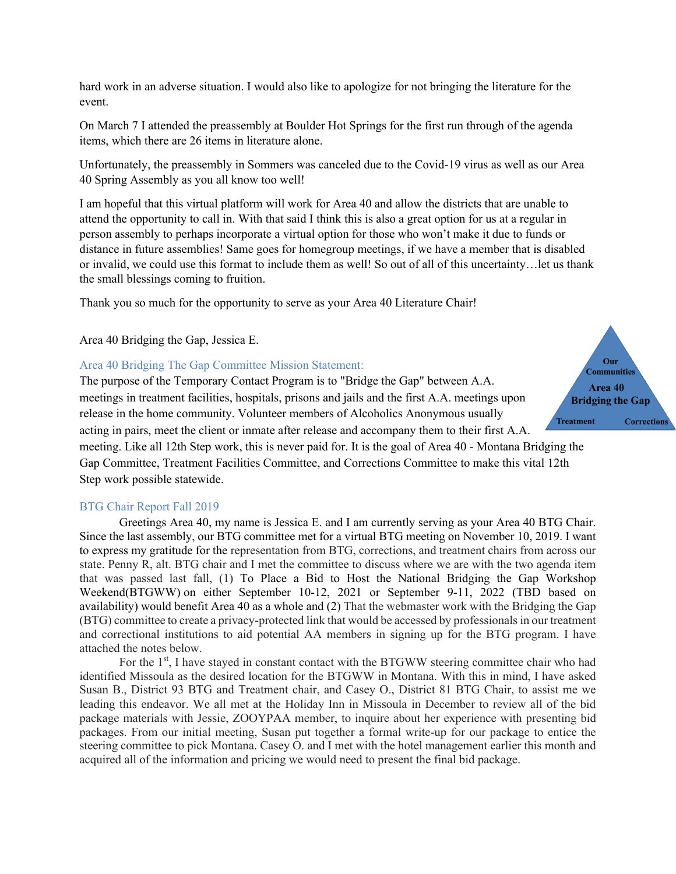hard work in an adverse situation. I would also like to apologize for not bringing the literature for the event.

On March 7 I attended the preassembly at Boulder Hot Springs for the first run through of the agenda items, which there are 26 items in literature alone.

Unfortunately, the preassembly in Sommers was canceled due to the Covid-19 virus as well as our Area 40 Spring Assembly as you all know too well!

I am hopeful that this virtual platform will work for Area 40 and allow the districts that are unable to attend the opportunity to call in. With that said I think this is also a great option for us at a regular in person assembly to perhaps incorporate a virtual option for those who won't make it due to funds or distance in future assemblies! Same goes for homegroup meetings, if we have a member that is disabled or invalid, we could use this format to include them as well! So out of all of this uncertainty…let us thank the small blessings coming to fruition.

Thank you so much for the opportunity to serve as your Area 40 Literature Chair!

Area 40 Bridging the Gap, Jessica E.

## Area 40 Bridging The Gap Committee Mission Statement:

The purpose of the Temporary Contact Program is to "Bridge the Gap" between A.A. meetings in treatment facilities, hospitals, prisons and jails and the first A.A. meetings upon release in the home community. Volunteer members of Alcoholics Anonymous usually acting in pairs, meet the client or inmate after release and accompany them to their first A.A. meeting. Like all 12th Step work, this is never paid for. It is the goal of Area 40 - Montana Bridging the

Gap Committee, Treatment Facilities Committee, and Corrections Committee to make this vital 12th Step work possible statewide.

#### BTG Chair Report Fall 2019

Greetings Area 40, my name is Jessica E. and I am currently serving as your Area 40 BTG Chair. Since the last assembly, our BTG committee met for a virtual BTG meeting on November 10, 2019. I want to express my gratitude for the representation from BTG, corrections, and treatment chairs from across our state. Penny R, alt. BTG chair and I met the committee to discuss where we are with the two agenda item that was passed last fall, (1) To Place a Bid to Host the National Bridging the Gap Workshop Weekend(BTGWW) on either September 10-12, 2021 or September 9-11, 2022 (TBD based on availability) would benefit Area 40 as a whole and (2) That the webmaster work with the Bridging the Gap (BTG) committee to create a privacy-protected link that would be accessed by professionals in our treatment and correctional institutions to aid potential AA members in signing up for the BTG program. I have attached the notes below.

For the  $1<sup>st</sup>$ , I have stayed in constant contact with the BTGWW steering committee chair who had identified Missoula as the desired location for the BTGWW in Montana. With this in mind, I have asked Susan B., District 93 BTG and Treatment chair, and Casey O., District 81 BTG Chair, to assist me we leading this endeavor. We all met at the Holiday Inn in Missoula in December to review all of the bid package materials with Jessie, ZOOYPAA member, to inquire about her experience with presenting bid packages. From our initial meeting, Susan put together a formal write-up for our package to entice the steering committee to pick Montana. Casey O. and I met with the hotel management earlier this month and acquired all of the information and pricing we would need to present the final bid package.

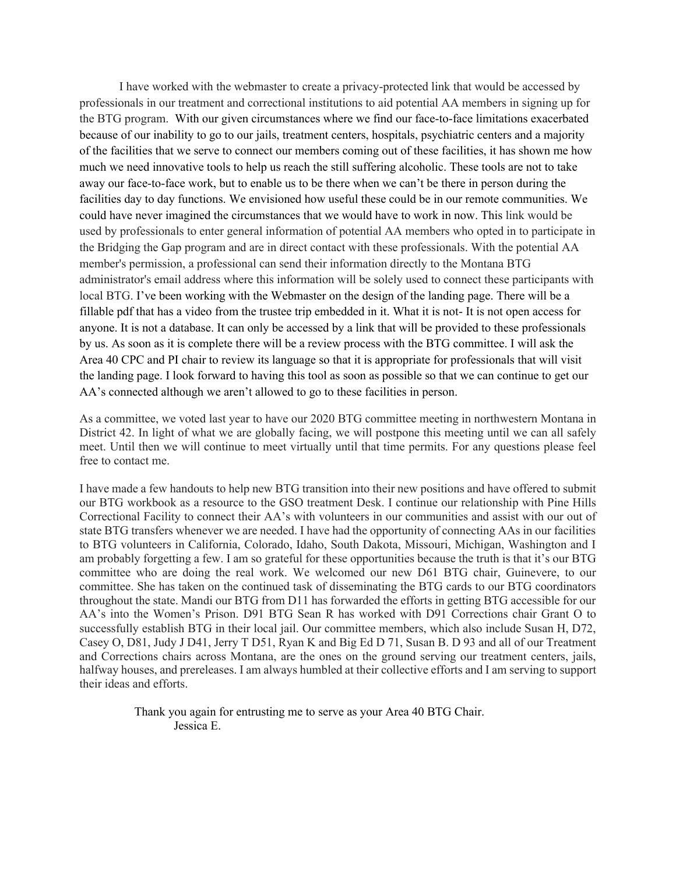I have worked with the webmaster to create a privacy-protected link that would be accessed by professionals in our treatment and correctional institutions to aid potential AA members in signing up for the BTG program. With our given circumstances where we find our face-to-face limitations exacerbated because of our inability to go to our jails, treatment centers, hospitals, psychiatric centers and a majority of the facilities that we serve to connect our members coming out of these facilities, it has shown me how much we need innovative tools to help us reach the still suffering alcoholic. These tools are not to take away our face-to-face work, but to enable us to be there when we can't be there in person during the facilities day to day functions. We envisioned how useful these could be in our remote communities. We could have never imagined the circumstances that we would have to work in now. This link would be used by professionals to enter general information of potential AA members who opted in to participate in the Bridging the Gap program and are in direct contact with these professionals. With the potential AA member's permission, a professional can send their information directly to the Montana BTG administrator's email address where this information will be solely used to connect these participants with local BTG. I've been working with the Webmaster on the design of the landing page. There will be a fillable pdf that has a video from the trustee trip embedded in it. What it is not- It is not open access for anyone. It is not a database. It can only be accessed by a link that will be provided to these professionals by us. As soon as it is complete there will be a review process with the BTG committee. I will ask the Area 40 CPC and PI chair to review its language so that it is appropriate for professionals that will visit the landing page. I look forward to having this tool as soon as possible so that we can continue to get our AA's connected although we aren't allowed to go to these facilities in person.

As a committee, we voted last year to have our 2020 BTG committee meeting in northwestern Montana in District 42. In light of what we are globally facing, we will postpone this meeting until we can all safely meet. Until then we will continue to meet virtually until that time permits. For any questions please feel free to contact me.

I have made a few handouts to help new BTG transition into their new positions and have offered to submit our BTG workbook as a resource to the GSO treatment Desk. I continue our relationship with Pine Hills Correctional Facility to connect their AA's with volunteers in our communities and assist with our out of state BTG transfers whenever we are needed. I have had the opportunity of connecting AAs in our facilities to BTG volunteers in California, Colorado, Idaho, South Dakota, Missouri, Michigan, Washington and I am probably forgetting a few. I am so grateful for these opportunities because the truth is that it's our BTG committee who are doing the real work. We welcomed our new D61 BTG chair, Guinevere, to our committee. She has taken on the continued task of disseminating the BTG cards to our BTG coordinators throughout the state. Mandi our BTG from D11 has forwarded the efforts in getting BTG accessible for our AA's into the Women's Prison. D91 BTG Sean R has worked with D91 Corrections chair Grant O to successfully establish BTG in their local jail. Our committee members, which also include Susan H, D72, Casey O, D81, Judy J D41, Jerry T D51, Ryan K and Big Ed D 71, Susan B. D 93 and all of our Treatment and Corrections chairs across Montana, are the ones on the ground serving our treatment centers, jails, halfway houses, and prereleases. I am always humbled at their collective efforts and I am serving to support their ideas and efforts.

> Thank you again for entrusting me to serve as your Area 40 BTG Chair. Jessica E.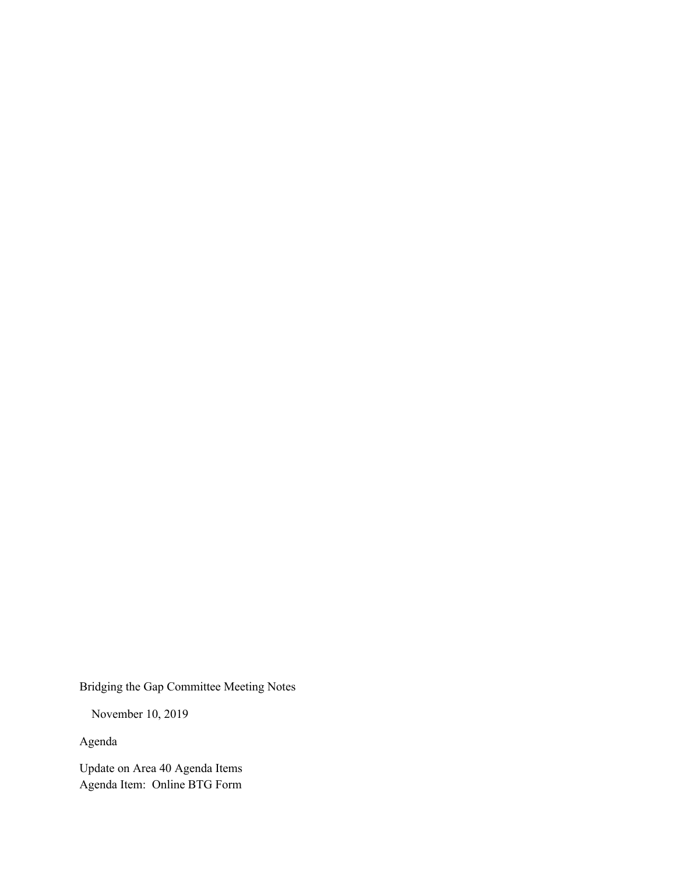Bridging the Gap Committee Meeting Notes

November 10, 2019

Agenda

Update on Area 40 Agenda Items Agenda Item: Online BTG Form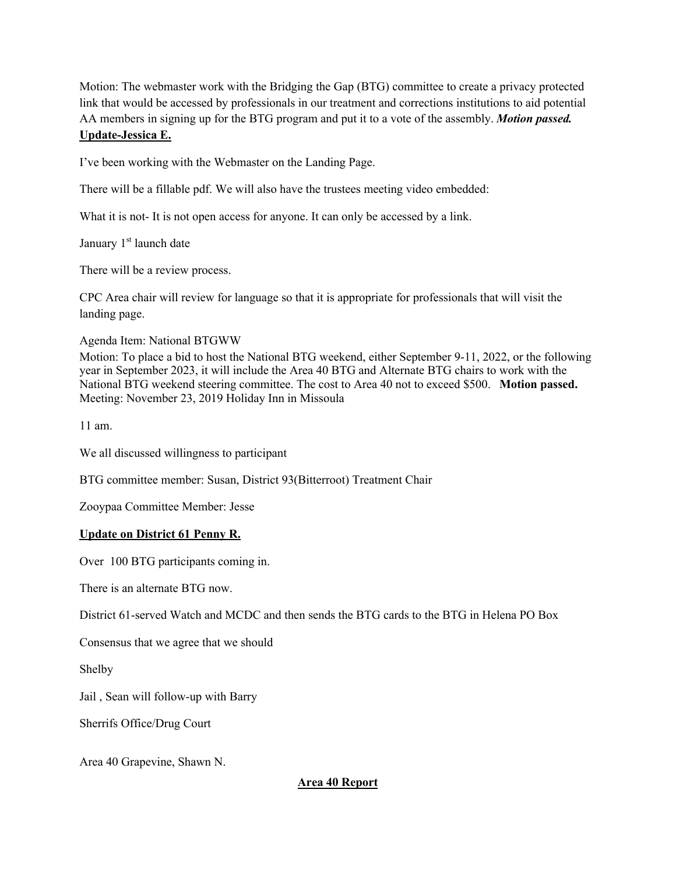Motion: The webmaster work with the Bridging the Gap (BTG) committee to create a privacy protected link that would be accessed by professionals in our treatment and corrections institutions to aid potential AA members in signing up for the BTG program and put it to a vote of the assembly. *Motion passed.* **Update-Jessica E.**

I've been working with the Webmaster on the Landing Page.

There will be a fillable pdf. We will also have the trustees meeting video embedded:

What it is not- It is not open access for anyone. It can only be accessed by a link.

January 1<sup>st</sup> launch date

There will be a review process.

CPC Area chair will review for language so that it is appropriate for professionals that will visit the landing page.

Agenda Item: National BTGWW

Motion: To place a bid to host the National BTG weekend, either September 9-11, 2022, or the following year in September 2023, it will include the Area 40 BTG and Alternate BTG chairs to work with the National BTG weekend steering committee. The cost to Area 40 not to exceed \$500. **Motion passed.** Meeting: November 23, 2019 Holiday Inn in Missoula

11 am.

We all discussed willingness to participant

BTG committee member: Susan, District 93(Bitterroot) Treatment Chair

Zooypaa Committee Member: Jesse

## **Update on District 61 Penny R.**

Over 100 BTG participants coming in.

There is an alternate BTG now.

District 61-served Watch and MCDC and then sends the BTG cards to the BTG in Helena PO Box

Consensus that we agree that we should

Shelby

Jail , Sean will follow-up with Barry

Sherrifs Office/Drug Court

Area 40 Grapevine, Shawn N.

**Area 40 Report**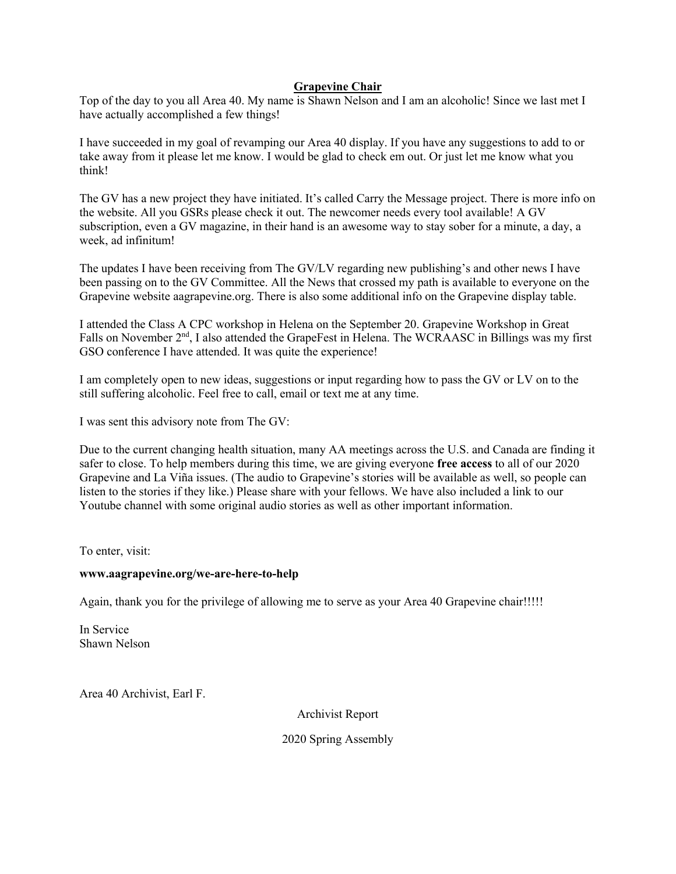## **Grapevine Chair**

Top of the day to you all Area 40. My name is Shawn Nelson and I am an alcoholic! Since we last met I have actually accomplished a few things!

I have succeeded in my goal of revamping our Area 40 display. If you have any suggestions to add to or take away from it please let me know. I would be glad to check em out. Or just let me know what you think!

The GV has a new project they have initiated. It's called Carry the Message project. There is more info on the website. All you GSRs please check it out. The newcomer needs every tool available! A GV subscription, even a GV magazine, in their hand is an awesome way to stay sober for a minute, a day, a week, ad infinitum!

The updates I have been receiving from The GV/LV regarding new publishing's and other news I have been passing on to the GV Committee. All the News that crossed my path is available to everyone on the Grapevine website aagrapevine.org. There is also some additional info on the Grapevine display table.

I attended the Class A CPC workshop in Helena on the September 20. Grapevine Workshop in Great Falls on November 2<sup>nd</sup>, I also attended the GrapeFest in Helena. The WCRAASC in Billings was my first GSO conference I have attended. It was quite the experience!

I am completely open to new ideas, suggestions or input regarding how to pass the GV or LV on to the still suffering alcoholic. Feel free to call, email or text me at any time.

I was sent this advisory note from The GV:

Due to the current changing health situation, many AA meetings across the U.S. and Canada are finding it safer to close. To help members during this time, we are giving everyone **free access** to all of our 2020 Grapevine and La Viña issues. (The audio to Grapevine's stories will be available as well, so people can listen to the stories if they like.) Please share with your fellows. We have also included a link to our Youtube channel with some original audio stories as well as other important information.

To enter, visit:

#### **www.aagrapevine.org/we-are-here-to-help**

Again, thank you for the privilege of allowing me to serve as your Area 40 Grapevine chair!!!!!

In Service Shawn Nelson

Area 40 Archivist, Earl F.

Archivist Report

2020 Spring Assembly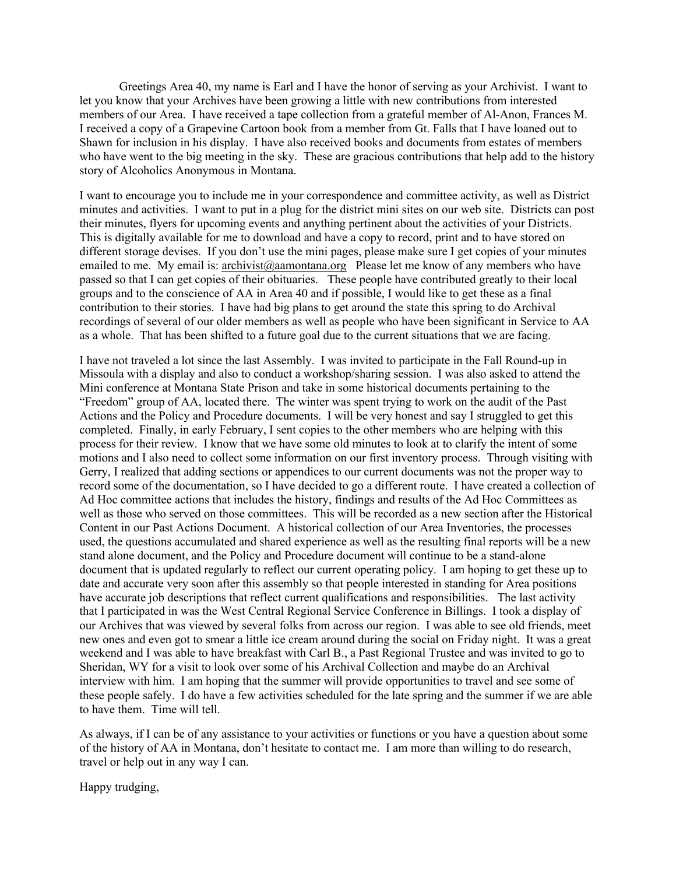Greetings Area 40, my name is Earl and I have the honor of serving as your Archivist. I want to let you know that your Archives have been growing a little with new contributions from interested members of our Area. I have received a tape collection from a grateful member of Al-Anon, Frances M. I received a copy of a Grapevine Cartoon book from a member from Gt. Falls that I have loaned out to Shawn for inclusion in his display. I have also received books and documents from estates of members who have went to the big meeting in the sky. These are gracious contributions that help add to the history story of Alcoholics Anonymous in Montana.

I want to encourage you to include me in your correspondence and committee activity, as well as District minutes and activities. I want to put in a plug for the district mini sites on our web site. Districts can post their minutes, flyers for upcoming events and anything pertinent about the activities of your Districts. This is digitally available for me to download and have a copy to record, print and to have stored on different storage devises. If you don't use the mini pages, please make sure I get copies of your minutes emailed to me. My email is: archivist@aamontana.org Please let me know of any members who have passed so that I can get copies of their obituaries. These people have contributed greatly to their local groups and to the conscience of AA in Area 40 and if possible, I would like to get these as a final contribution to their stories. I have had big plans to get around the state this spring to do Archival recordings of several of our older members as well as people who have been significant in Service to AA as a whole. That has been shifted to a future goal due to the current situations that we are facing.

I have not traveled a lot since the last Assembly. I was invited to participate in the Fall Round-up in Missoula with a display and also to conduct a workshop/sharing session. I was also asked to attend the Mini conference at Montana State Prison and take in some historical documents pertaining to the "Freedom" group of AA, located there. The winter was spent trying to work on the audit of the Past Actions and the Policy and Procedure documents. I will be very honest and say I struggled to get this completed. Finally, in early February, I sent copies to the other members who are helping with this process for their review. I know that we have some old minutes to look at to clarify the intent of some motions and I also need to collect some information on our first inventory process. Through visiting with Gerry, I realized that adding sections or appendices to our current documents was not the proper way to record some of the documentation, so I have decided to go a different route. I have created a collection of Ad Hoc committee actions that includes the history, findings and results of the Ad Hoc Committees as well as those who served on those committees. This will be recorded as a new section after the Historical Content in our Past Actions Document. A historical collection of our Area Inventories, the processes used, the questions accumulated and shared experience as well as the resulting final reports will be a new stand alone document, and the Policy and Procedure document will continue to be a stand-alone document that is updated regularly to reflect our current operating policy. I am hoping to get these up to date and accurate very soon after this assembly so that people interested in standing for Area positions have accurate job descriptions that reflect current qualifications and responsibilities. The last activity that I participated in was the West Central Regional Service Conference in Billings. I took a display of our Archives that was viewed by several folks from across our region. I was able to see old friends, meet new ones and even got to smear a little ice cream around during the social on Friday night. It was a great weekend and I was able to have breakfast with Carl B., a Past Regional Trustee and was invited to go to Sheridan, WY for a visit to look over some of his Archival Collection and maybe do an Archival interview with him. I am hoping that the summer will provide opportunities to travel and see some of these people safely. I do have a few activities scheduled for the late spring and the summer if we are able to have them. Time will tell.

As always, if I can be of any assistance to your activities or functions or you have a question about some of the history of AA in Montana, don't hesitate to contact me. I am more than willing to do research, travel or help out in any way I can.

Happy trudging,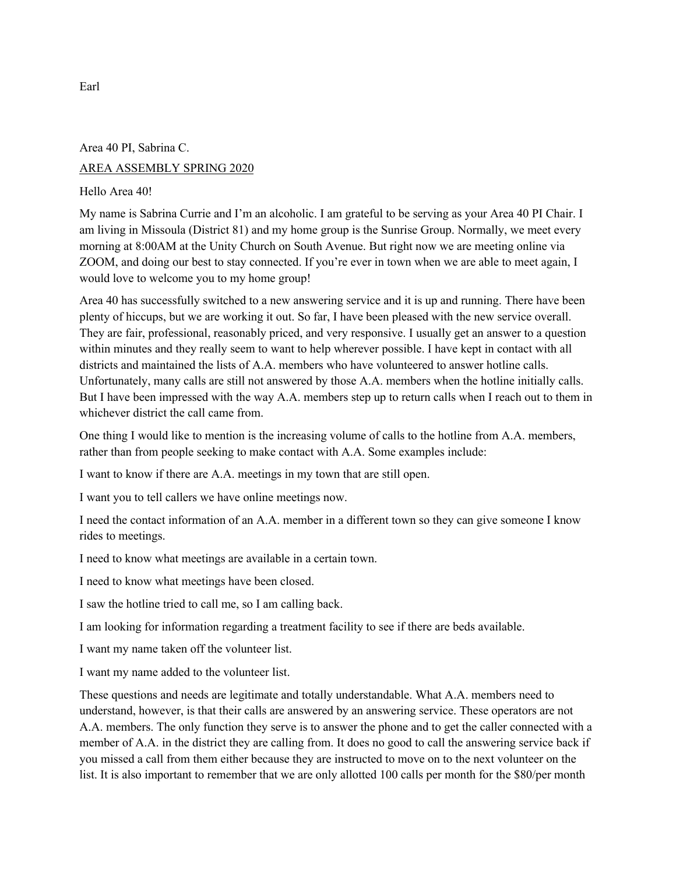# Area 40 PI, Sabrina C. AREA ASSEMBLY SPRING 2020

# Hello Area 40!

My name is Sabrina Currie and I'm an alcoholic. I am grateful to be serving as your Area 40 PI Chair. I am living in Missoula (District 81) and my home group is the Sunrise Group. Normally, we meet every morning at 8:00AM at the Unity Church on South Avenue. But right now we are meeting online via ZOOM, and doing our best to stay connected. If you're ever in town when we are able to meet again, I would love to welcome you to my home group!

Area 40 has successfully switched to a new answering service and it is up and running. There have been plenty of hiccups, but we are working it out. So far, I have been pleased with the new service overall. They are fair, professional, reasonably priced, and very responsive. I usually get an answer to a question within minutes and they really seem to want to help wherever possible. I have kept in contact with all districts and maintained the lists of A.A. members who have volunteered to answer hotline calls. Unfortunately, many calls are still not answered by those A.A. members when the hotline initially calls. But I have been impressed with the way A.A. members step up to return calls when I reach out to them in whichever district the call came from.

One thing I would like to mention is the increasing volume of calls to the hotline from A.A. members, rather than from people seeking to make contact with A.A. Some examples include:

I want to know if there are A.A. meetings in my town that are still open.

I want you to tell callers we have online meetings now.

I need the contact information of an A.A. member in a different town so they can give someone I know rides to meetings.

I need to know what meetings are available in a certain town.

I need to know what meetings have been closed.

I saw the hotline tried to call me, so I am calling back.

I am looking for information regarding a treatment facility to see if there are beds available.

I want my name taken off the volunteer list.

I want my name added to the volunteer list.

These questions and needs are legitimate and totally understandable. What A.A. members need to understand, however, is that their calls are answered by an answering service. These operators are not A.A. members. The only function they serve is to answer the phone and to get the caller connected with a member of A.A. in the district they are calling from. It does no good to call the answering service back if you missed a call from them either because they are instructed to move on to the next volunteer on the list. It is also important to remember that we are only allotted 100 calls per month for the \$80/per month

Earl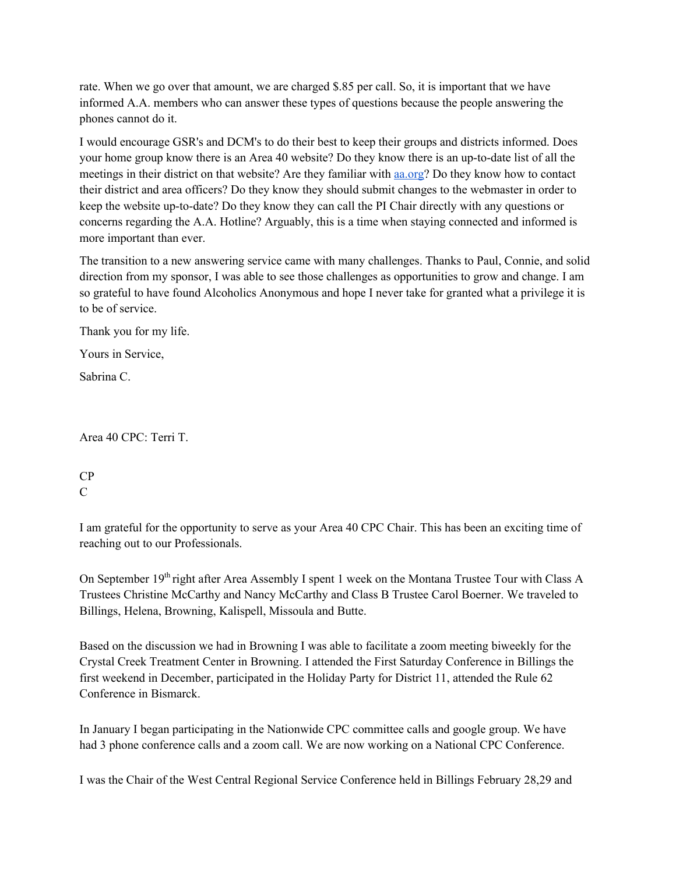rate. When we go over that amount, we are charged \$.85 per call. So, it is important that we have informed A.A. members who can answer these types of questions because the people answering the phones cannot do it.

I would encourage GSR's and DCM's to do their best to keep their groups and districts informed. Does your home group know there is an Area 40 website? Do they know there is an up-to-date list of all the meetings in their district on that website? Are they familiar with aa.org? Do they know how to contact their district and area officers? Do they know they should submit changes to the webmaster in order to keep the website up-to-date? Do they know they can call the PI Chair directly with any questions or concerns regarding the A.A. Hotline? Arguably, this is a time when staying connected and informed is more important than ever.

The transition to a new answering service came with many challenges. Thanks to Paul, Connie, and solid direction from my sponsor, I was able to see those challenges as opportunities to grow and change. I am so grateful to have found Alcoholics Anonymous and hope I never take for granted what a privilege it is to be of service.

Thank you for my life.

Yours in Service,

Sabrina C.

Area 40 CPC: Terri T.

CP  $\overline{C}$ 

I am grateful for the opportunity to serve as your Area 40 CPC Chair. This has been an exciting time of reaching out to our Professionals.

On September 19<sup>th</sup> right after Area Assembly I spent 1 week on the Montana Trustee Tour with Class A Trustees Christine McCarthy and Nancy McCarthy and Class B Trustee Carol Boerner. We traveled to Billings, Helena, Browning, Kalispell, Missoula and Butte.

Based on the discussion we had in Browning I was able to facilitate a zoom meeting biweekly for the Crystal Creek Treatment Center in Browning. I attended the First Saturday Conference in Billings the first weekend in December, participated in the Holiday Party for District 11, attended the Rule 62 Conference in Bismarck.

In January I began participating in the Nationwide CPC committee calls and google group. We have had 3 phone conference calls and a zoom call. We are now working on a National CPC Conference.

I was the Chair of the West Central Regional Service Conference held in Billings February 28,29 and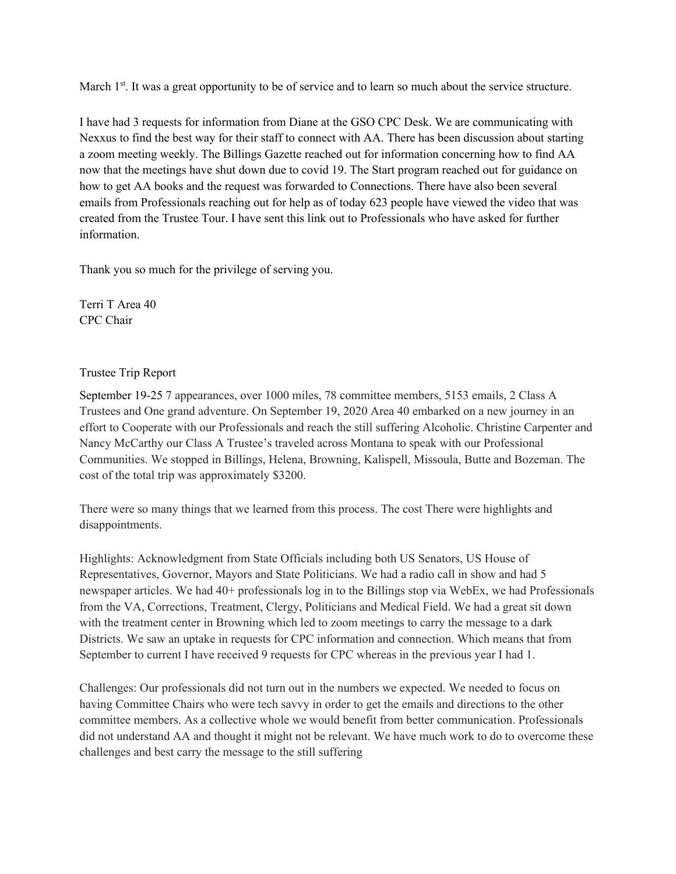March  $1<sup>st</sup>$ . It was a great opportunity to be of service and to learn so much about the service structure.

I have had 3 requests for information from Diane at the GSO CPC Desk. We are communicating with Nexxus to find the best way for their staff to connect with AA. There has been discussion about starting a zoom meeting weekly. The Billings Gazette reached out for information concerning how to find AA now that the meetings have shut down due to covid 19. The Start program reached out for guidance on how to get AA books and the request was forwarded to Connections. There have also been several emails from Professionals reaching out for help as of today 623 people have viewed the video that was created from the Trustee Tour. I have sent this link out to Professionals who have asked for further information.

Thank you so much for the privilege of serving you.

Terri T Area 40 CPC Chair

## Trustee Trip Report

September 19-25 7 appearances, over 1000 miles, 78 committee members, 5153 emails, 2 Class A Trustees and One grand adventure. On September 19, 2020 Area 40 embarked on a new journey in an effort to Cooperate with our Professionals and reach the still suffering Alcoholic. Christine Carpenter and Nancy McCarthy our Class A Trustee's traveled across Montana to speak with our Professional Communities. We stopped in Billings, Helena, Browning, Kalispell, Missoula, Butte and Bozeman. The cost of the total trip was approximately \$3200.

There were so many things that we learned from this process. The cost There were highlights and disappointments.

Highlights: Acknowledgment from State Officials including both US Senators, US House of Representatives, Governor, Mayors and State Politicians. We had a radio call in show and had 5 newspaper articles. We had 40+ professionals log in to the Billings stop via WebEx, we had Professionals from the VA, Corrections, Treatment, Clergy, Politicians and Medical Field. We had a great sit down with the treatment center in Browning which led to zoom meetings to carry the message to a dark Districts. We saw an uptake in requests for CPC information and connection. Which means that from September to current I have received 9 requests for CPC whereas in the previous year I had 1.

Challenges: Our professionals did not turn out in the numbers we expected. We needed to focus on having Committee Chairs who were tech savvy in order to get the emails and directions to the other committee members. As a collective whole we would benefit from better communication. Professionals did not understand AA and thought it might not be relevant. We have much work to do to overcome these challenges and best carry the message to the still suffering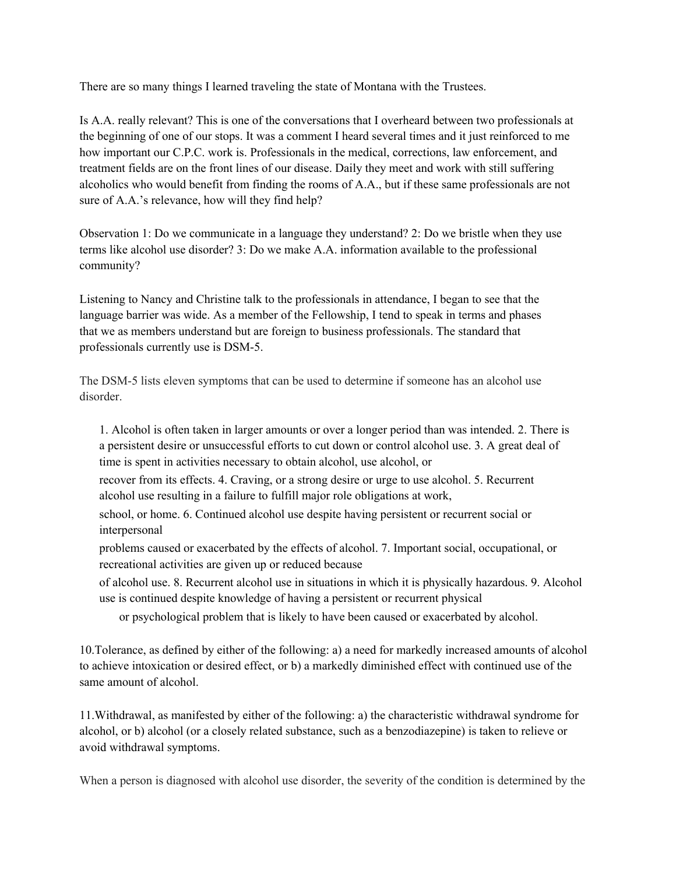There are so many things I learned traveling the state of Montana with the Trustees.

Is A.A. really relevant? This is one of the conversations that I overheard between two professionals at the beginning of one of our stops. It was a comment I heard several times and it just reinforced to me how important our C.P.C. work is. Professionals in the medical, corrections, law enforcement, and treatment fields are on the front lines of our disease. Daily they meet and work with still suffering alcoholics who would benefit from finding the rooms of A.A., but if these same professionals are not sure of A.A.'s relevance, how will they find help?

Observation 1: Do we communicate in a language they understand? 2: Do we bristle when they use terms like alcohol use disorder? 3: Do we make A.A. information available to the professional community?

Listening to Nancy and Christine talk to the professionals in attendance, I began to see that the language barrier was wide. As a member of the Fellowship, I tend to speak in terms and phases that we as members understand but are foreign to business professionals. The standard that professionals currently use is DSM-5.

The DSM-5 lists eleven symptoms that can be used to determine if someone has an alcohol use disorder.

1. Alcohol is often taken in larger amounts or over a longer period than was intended. 2. There is a persistent desire or unsuccessful efforts to cut down or control alcohol use. 3. A great deal of time is spent in activities necessary to obtain alcohol, use alcohol, or

recover from its effects. 4. Craving, or a strong desire or urge to use alcohol. 5. Recurrent alcohol use resulting in a failure to fulfill major role obligations at work,

school, or home. 6. Continued alcohol use despite having persistent or recurrent social or interpersonal

problems caused or exacerbated by the effects of alcohol. 7. Important social, occupational, or recreational activities are given up or reduced because

of alcohol use. 8. Recurrent alcohol use in situations in which it is physically hazardous. 9. Alcohol use is continued despite knowledge of having a persistent or recurrent physical

or psychological problem that is likely to have been caused or exacerbated by alcohol.

10.Tolerance, as defined by either of the following: a) a need for markedly increased amounts of alcohol to achieve intoxication or desired effect, or b) a markedly diminished effect with continued use of the same amount of alcohol.

11.Withdrawal, as manifested by either of the following: a) the characteristic withdrawal syndrome for alcohol, or b) alcohol (or a closely related substance, such as a benzodiazepine) is taken to relieve or avoid withdrawal symptoms.

When a person is diagnosed with alcohol use disorder, the severity of the condition is determined by the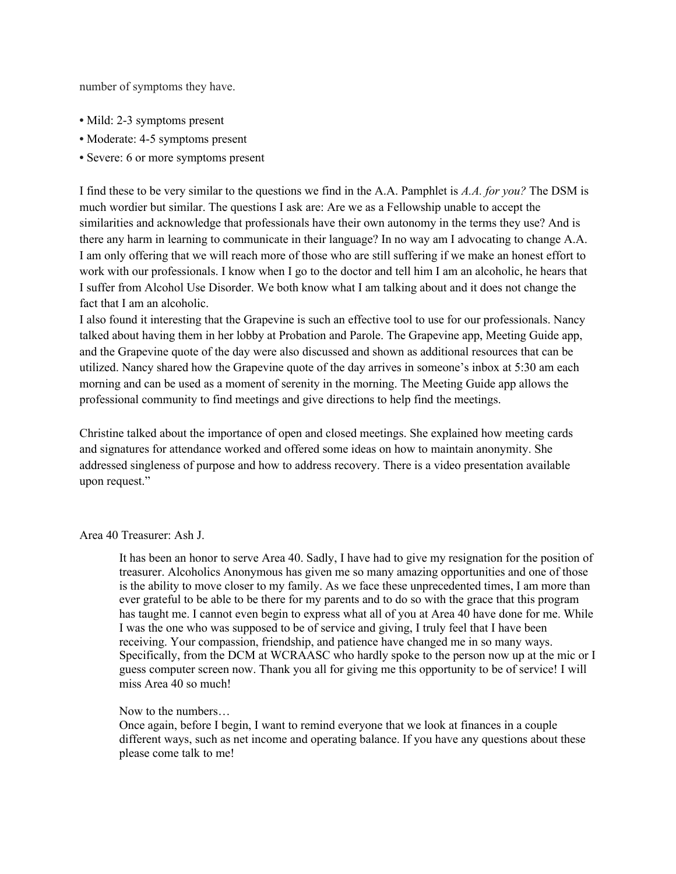number of symptoms they have.

- Mild: 2-3 symptoms present
- Moderate: 4-5 symptoms present
- Severe: 6 or more symptoms present

I find these to be very similar to the questions we find in the A.A. Pamphlet is *A.A. for you?* The DSM is much wordier but similar. The questions I ask are: Are we as a Fellowship unable to accept the similarities and acknowledge that professionals have their own autonomy in the terms they use? And is there any harm in learning to communicate in their language? In no way am I advocating to change A.A. I am only offering that we will reach more of those who are still suffering if we make an honest effort to work with our professionals. I know when I go to the doctor and tell him I am an alcoholic, he hears that I suffer from Alcohol Use Disorder. We both know what I am talking about and it does not change the fact that I am an alcoholic.

I also found it interesting that the Grapevine is such an effective tool to use for our professionals. Nancy talked about having them in her lobby at Probation and Parole. The Grapevine app, Meeting Guide app, and the Grapevine quote of the day were also discussed and shown as additional resources that can be utilized. Nancy shared how the Grapevine quote of the day arrives in someone's inbox at 5:30 am each morning and can be used as a moment of serenity in the morning. The Meeting Guide app allows the professional community to find meetings and give directions to help find the meetings.

Christine talked about the importance of open and closed meetings. She explained how meeting cards and signatures for attendance worked and offered some ideas on how to maintain anonymity. She addressed singleness of purpose and how to address recovery. There is a video presentation available upon request."

#### Area 40 Treasurer: Ash J.

It has been an honor to serve Area 40. Sadly, I have had to give my resignation for the position of treasurer. Alcoholics Anonymous has given me so many amazing opportunities and one of those is the ability to move closer to my family. As we face these unprecedented times, I am more than ever grateful to be able to be there for my parents and to do so with the grace that this program has taught me. I cannot even begin to express what all of you at Area 40 have done for me. While I was the one who was supposed to be of service and giving, I truly feel that I have been receiving. Your compassion, friendship, and patience have changed me in so many ways. Specifically, from the DCM at WCRAASC who hardly spoke to the person now up at the mic or I guess computer screen now. Thank you all for giving me this opportunity to be of service! I will miss Area 40 so much!

#### Now to the numbers…

Once again, before I begin, I want to remind everyone that we look at finances in a couple different ways, such as net income and operating balance. If you have any questions about these please come talk to me!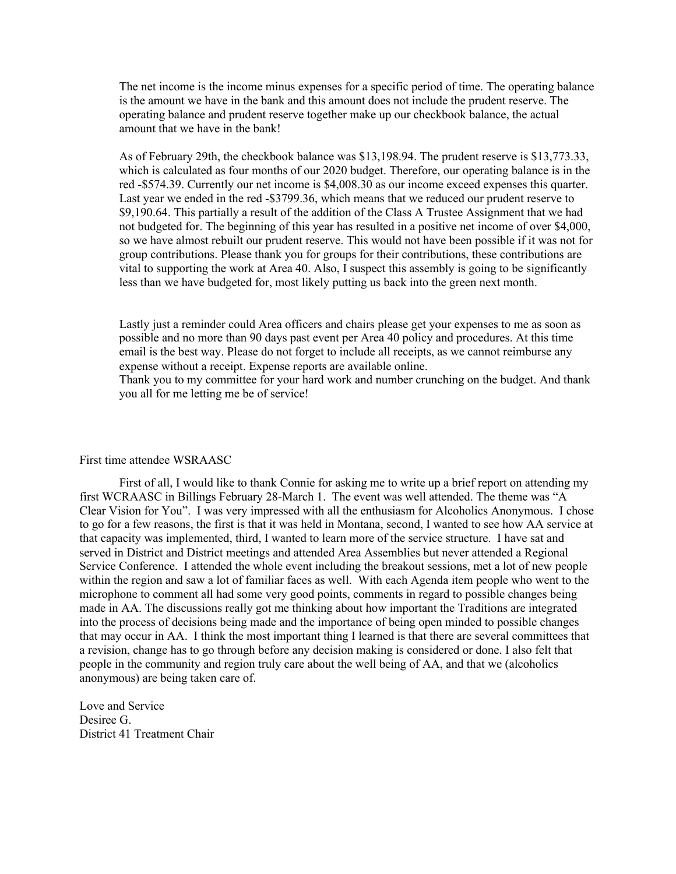The net income is the income minus expenses for a specific period of time. The operating balance is the amount we have in the bank and this amount does not include the prudent reserve. The operating balance and prudent reserve together make up our checkbook balance, the actual amount that we have in the bank!

As of February 29th, the checkbook balance was \$13,198.94. The prudent reserve is \$13,773.33, which is calculated as four months of our 2020 budget. Therefore, our operating balance is in the red -\$574.39. Currently our net income is \$4,008.30 as our income exceed expenses this quarter. Last year we ended in the red -\$3799.36, which means that we reduced our prudent reserve to \$9,190.64. This partially a result of the addition of the Class A Trustee Assignment that we had not budgeted for. The beginning of this year has resulted in a positive net income of over \$4,000, so we have almost rebuilt our prudent reserve. This would not have been possible if it was not for group contributions. Please thank you for groups for their contributions, these contributions are vital to supporting the work at Area 40. Also, I suspect this assembly is going to be significantly less than we have budgeted for, most likely putting us back into the green next month.

Lastly just a reminder could Area officers and chairs please get your expenses to me as soon as possible and no more than 90 days past event per Area 40 policy and procedures. At this time email is the best way. Please do not forget to include all receipts, as we cannot reimburse any expense without a receipt. Expense reports are available online.

Thank you to my committee for your hard work and number crunching on the budget. And thank you all for me letting me be of service!

#### First time attendee WSRAASC

First of all, I would like to thank Connie for asking me to write up a brief report on attending my first WCRAASC in Billings February 28-March 1. The event was well attended. The theme was "A Clear Vision for You". I was very impressed with all the enthusiasm for Alcoholics Anonymous. I chose to go for a few reasons, the first is that it was held in Montana, second, I wanted to see how AA service at that capacity was implemented, third, I wanted to learn more of the service structure. I have sat and served in District and District meetings and attended Area Assemblies but never attended a Regional Service Conference. I attended the whole event including the breakout sessions, met a lot of new people within the region and saw a lot of familiar faces as well. With each Agenda item people who went to the microphone to comment all had some very good points, comments in regard to possible changes being made in AA. The discussions really got me thinking about how important the Traditions are integrated into the process of decisions being made and the importance of being open minded to possible changes that may occur in AA. I think the most important thing I learned is that there are several committees that a revision, change has to go through before any decision making is considered or done. I also felt that people in the community and region truly care about the well being of AA, and that we (alcoholics anonymous) are being taken care of.

Love and Service Desiree G. District 41 Treatment Chair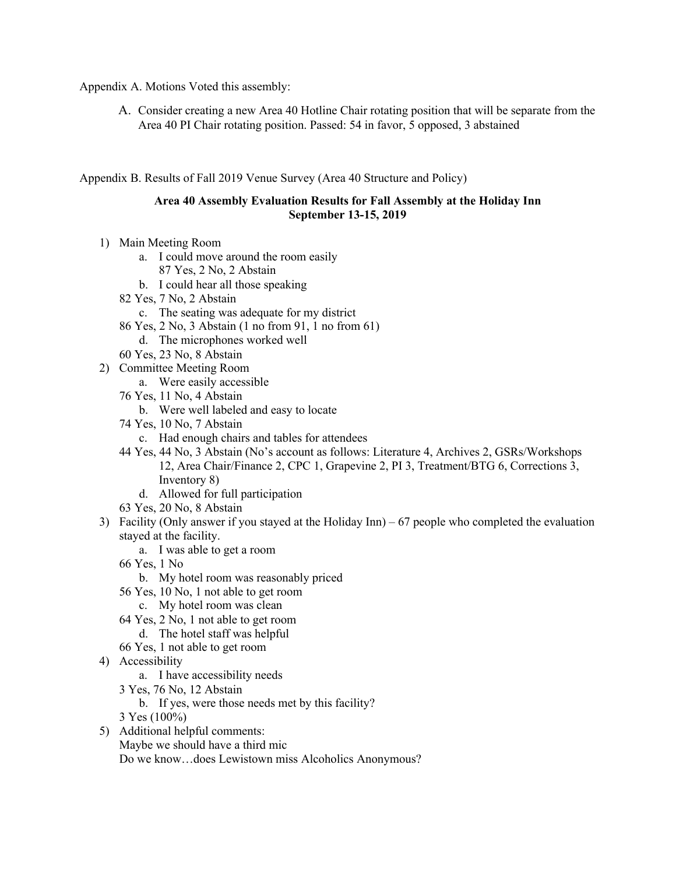Appendix A. Motions Voted this assembly:

A. Consider creating a new Area 40 Hotline Chair rotating position that will be separate from the Area 40 PI Chair rotating position. Passed: 54 in favor, 5 opposed, 3 abstained

## Appendix B. Results of Fall 2019 Venue Survey (Area 40 Structure and Policy)

## **Area 40 Assembly Evaluation Results for Fall Assembly at the Holiday Inn September 13-15, 2019**

- 1) Main Meeting Room
	- a. I could move around the room easily
		- 87 Yes, 2 No, 2 Abstain
	- b. I could hear all those speaking
	- 82 Yes, 7 No, 2 Abstain
		- c. The seating was adequate for my district
	- 86 Yes, 2 No, 3 Abstain (1 no from 91, 1 no from 61)
		- d. The microphones worked well
	- 60 Yes, 23 No, 8 Abstain
- 2) Committee Meeting Room
	- a. Were easily accessible
	- 76 Yes, 11 No, 4 Abstain
		- b. Were well labeled and easy to locate
	- 74 Yes, 10 No, 7 Abstain
		- c. Had enough chairs and tables for attendees
	- 44 Yes, 44 No, 3 Abstain (No's account as follows: Literature 4, Archives 2, GSRs/Workshops 12, Area Chair/Finance 2, CPC 1, Grapevine 2, PI 3, Treatment/BTG 6, Corrections 3, Inventory 8)
		- d. Allowed for full participation
	- 63 Yes, 20 No, 8 Abstain
- 3) Facility (Only answer if you stayed at the Holiday Inn) 67 people who completed the evaluation stayed at the facility.
	- a. I was able to get a room
	- 66 Yes, 1 No
		- b. My hotel room was reasonably priced
	- 56 Yes, 10 No, 1 not able to get room
		- c. My hotel room was clean
	- 64 Yes, 2 No, 1 not able to get room
	- d. The hotel staff was helpful
	- 66 Yes, 1 not able to get room
- 4) Accessibility
	- a. I have accessibility needs
	- 3 Yes, 76 No, 12 Abstain
		- b. If yes, were those needs met by this facility?
	- 3 Yes (100%)
- 5) Additional helpful comments: Maybe we should have a third mic Do we know…does Lewistown miss Alcoholics Anonymous?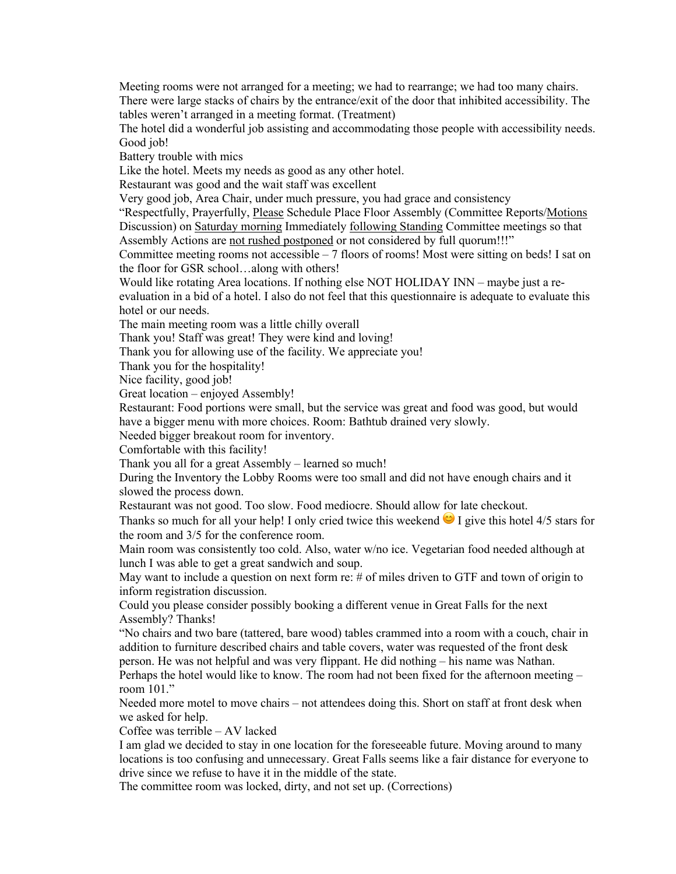Meeting rooms were not arranged for a meeting; we had to rearrange; we had too many chairs. There were large stacks of chairs by the entrance/exit of the door that inhibited accessibility. The tables weren't arranged in a meeting format. (Treatment)

The hotel did a wonderful job assisting and accommodating those people with accessibility needs. Good *job!* 

Battery trouble with mics

Like the hotel. Meets my needs as good as any other hotel.

Restaurant was good and the wait staff was excellent

Very good job, Area Chair, under much pressure, you had grace and consistency

"Respectfully, Prayerfully, Please Schedule Place Floor Assembly (Committee Reports/Motions Discussion) on Saturday morning Immediately following Standing Committee meetings so that Assembly Actions are not rushed postponed or not considered by full quorum!!!"

Committee meeting rooms not accessible – 7 floors of rooms! Most were sitting on beds! I sat on the floor for GSR school…along with others!

Would like rotating Area locations. If nothing else NOT HOLIDAY INN – maybe just a reevaluation in a bid of a hotel. I also do not feel that this questionnaire is adequate to evaluate this hotel or our needs.

The main meeting room was a little chilly overall

Thank you! Staff was great! They were kind and loving!

Thank you for allowing use of the facility. We appreciate you!

Thank you for the hospitality!

Nice facility, good job!

Great location – enjoyed Assembly!

Restaurant: Food portions were small, but the service was great and food was good, but would have a bigger menu with more choices. Room: Bathtub drained very slowly.

Needed bigger breakout room for inventory.

Comfortable with this facility!

Thank you all for a great Assembly – learned so much!

During the Inventory the Lobby Rooms were too small and did not have enough chairs and it slowed the process down.

Restaurant was not good. Too slow. Food mediocre. Should allow for late checkout.

Thanks so much for all your help! I only cried twice this weekend  $\bullet$  I give this hotel 4/5 stars for the room and 3/5 for the conference room.

Main room was consistently too cold. Also, water w/no ice. Vegetarian food needed although at lunch I was able to get a great sandwich and soup.

May want to include a question on next form re: # of miles driven to GTF and town of origin to inform registration discussion.

Could you please consider possibly booking a different venue in Great Falls for the next Assembly? Thanks!

"No chairs and two bare (tattered, bare wood) tables crammed into a room with a couch, chair in addition to furniture described chairs and table covers, water was requested of the front desk person. He was not helpful and was very flippant. He did nothing – his name was Nathan.

Perhaps the hotel would like to know. The room had not been fixed for the afternoon meeting – room 101."

Needed more motel to move chairs – not attendees doing this. Short on staff at front desk when we asked for help.

Coffee was terrible – AV lacked

I am glad we decided to stay in one location for the foreseeable future. Moving around to many locations is too confusing and unnecessary. Great Falls seems like a fair distance for everyone to drive since we refuse to have it in the middle of the state.

The committee room was locked, dirty, and not set up. (Corrections)